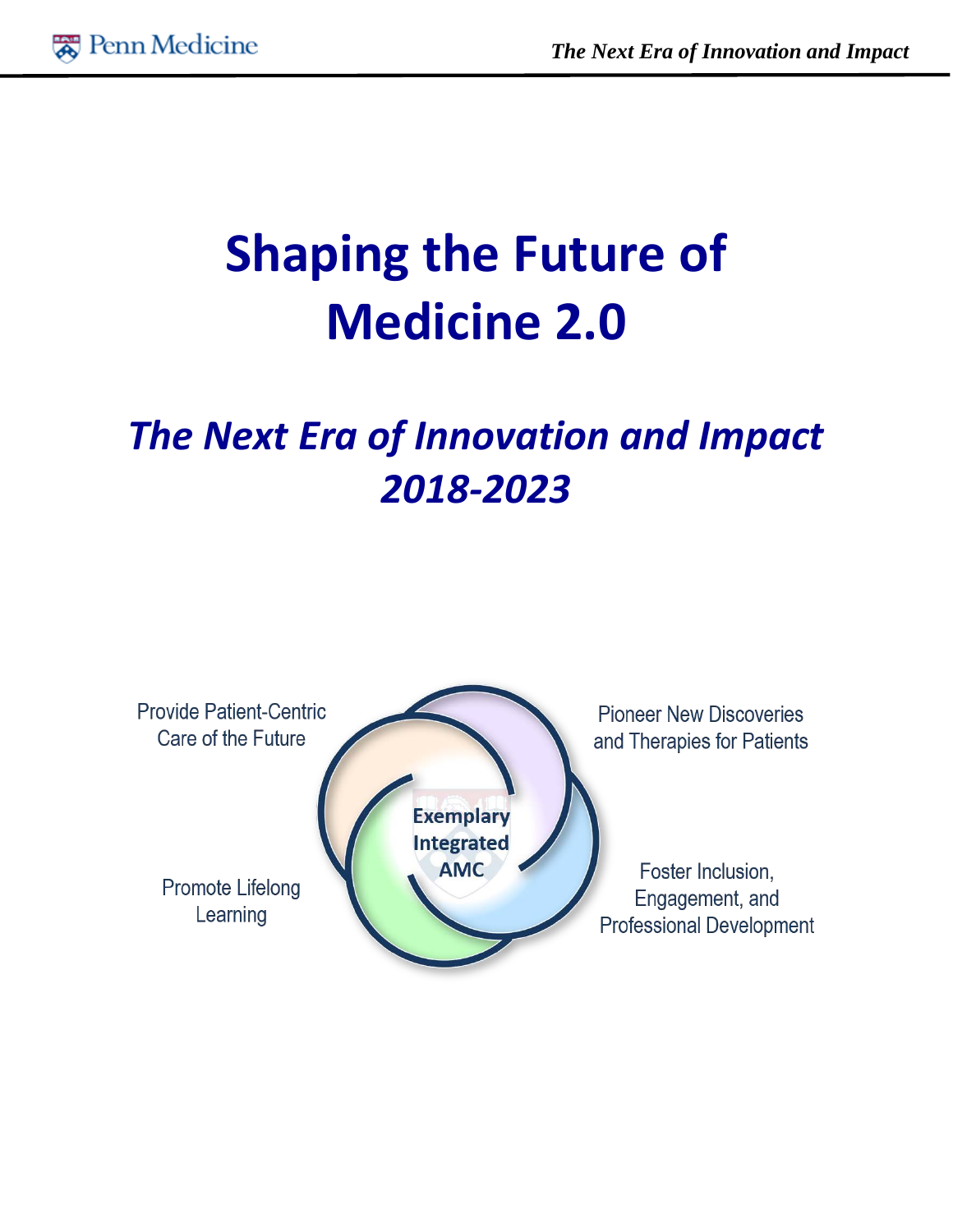

# **Shaping the Future of Medicine 2.0**

# *The Next Era of Innovation and Impact 2018-2023*

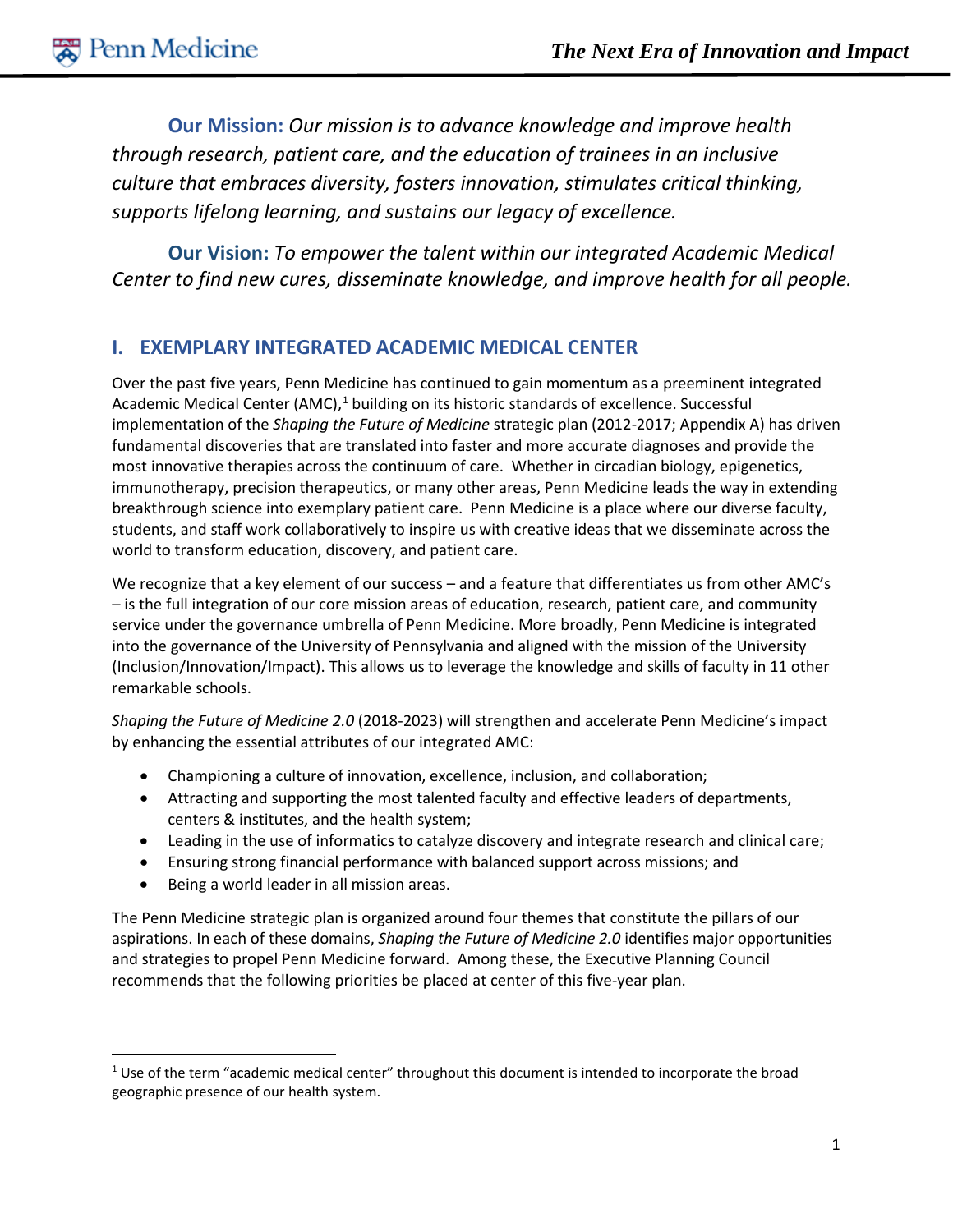**Our Mission:** *Our mission is to advance knowledge and improve health through research, patient care, and the education of trainees in an inclusive culture that embraces diversity, fosters innovation, stimulates critical thinking, supports lifelong learning, and sustains our legacy of excellence.*

**Our Vision:** *To empower the talent within our integrated Academic Medical Center to find new cures, disseminate knowledge, and improve health for all people.*

# **I. EXEMPLARY INTEGRATED ACADEMIC MEDICAL CENTER**

Over the past five years, Penn Medicine has continued to gain momentum as a preeminent integrated Academic Medical Center (AMC),<sup>[1](#page-1-0)</sup> building on its historic standards of excellence. Successful implementation of the *Shaping the Future of Medicine* strategic plan (2012-2017; Appendix A) has driven fundamental discoveries that are translated into faster and more accurate diagnoses and provide the most innovative therapies across the continuum of care. Whether in circadian biology, epigenetics, immunotherapy, precision therapeutics, or many other areas, Penn Medicine leads the way in extending breakthrough science into exemplary patient care. Penn Medicine is a place where our diverse faculty, students, and staff work collaboratively to inspire us with creative ideas that we disseminate across the world to transform education, discovery, and patient care.

We recognize that a key element of our success – and a feature that differentiates us from other AMC's – is the full integration of our core mission areas of education, research, patient care, and community service under the governance umbrella of Penn Medicine. More broadly, Penn Medicine is integrated into the governance of the University of Pennsylvania and aligned with the mission of the University (Inclusion/Innovation/Impact). This allows us to leverage the knowledge and skills of faculty in 11 other remarkable schools.

*Shaping the Future of Medicine 2.0* (2018-2023) will strengthen and accelerate Penn Medicine's impact by enhancing the essential attributes of our integrated AMC:

- Championing a culture of innovation, excellence, inclusion, and collaboration;
- Attracting and supporting the most talented faculty and effective leaders of departments, centers & institutes, and the health system;
- Leading in the use of informatics to catalyze discovery and integrate research and clinical care;
- Ensuring strong financial performance with balanced support across missions; and
- Being a world leader in all mission areas.

The Penn Medicine strategic plan is organized around four themes that constitute the pillars of our aspirations. In each of these domains, *Shaping the Future of Medicine 2.0* identifies major opportunities and strategies to propel Penn Medicine forward. Among these, the Executive Planning Council recommends that the following priorities be placed at center of this five-year plan.

<span id="page-1-0"></span><sup>&</sup>lt;sup>1</sup> Use of the term "academic medical center" throughout this document is intended to incorporate the broad geographic presence of our health system.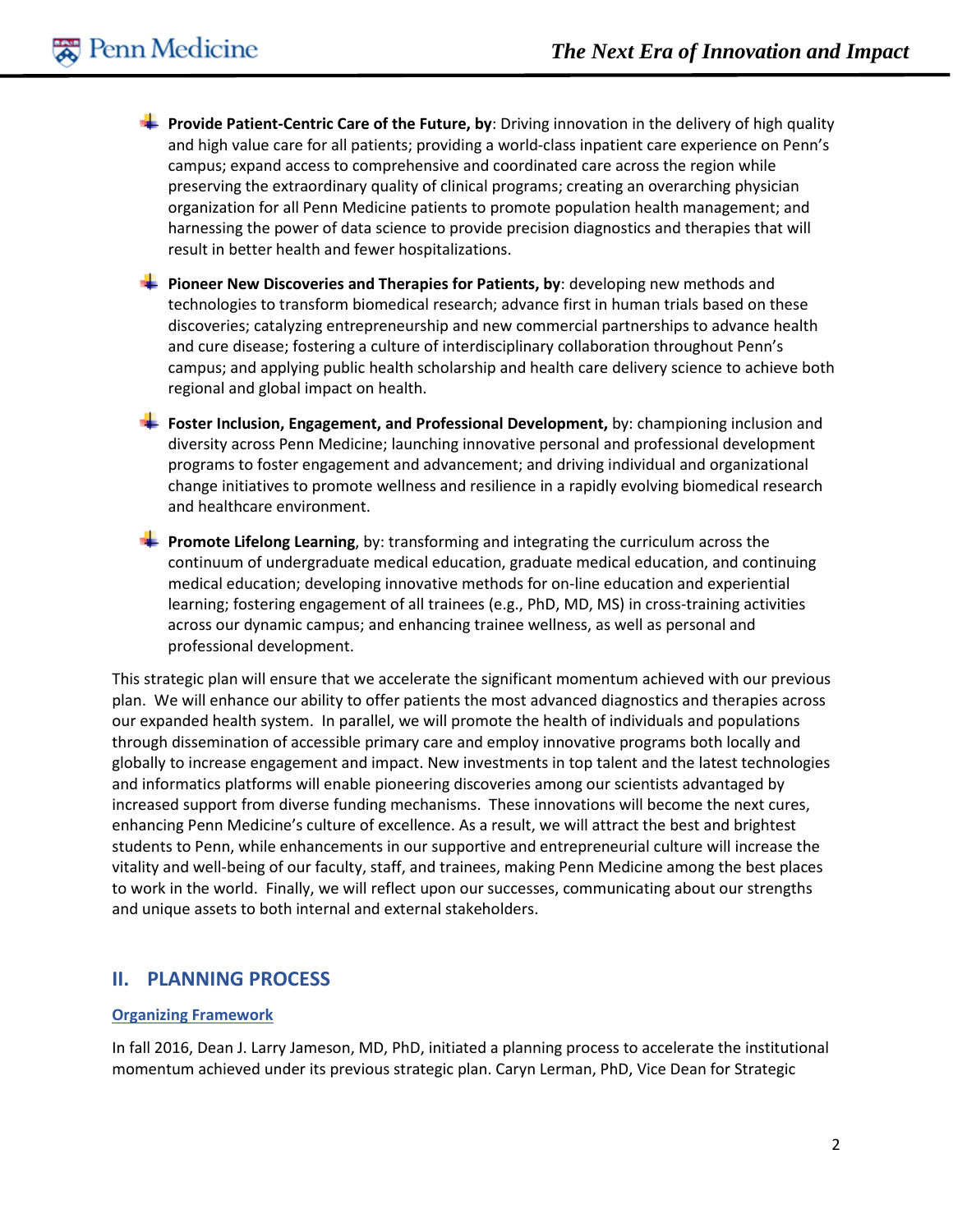- **Provide Patient-Centric Care of the Future, by: Driving innovation in the delivery of high quality** and high value care for all patients; providing a world-class inpatient care experience on Penn's campus; expand access to comprehensive and coordinated care across the region while preserving the extraordinary quality of clinical programs; creating an overarching physician organization for all Penn Medicine patients to promote population health management; and harnessing the power of data science to provide precision diagnostics and therapies that will result in better health and fewer hospitalizations.
- **Pioneer New Discoveries and Therapies for Patients, by: developing new methods and** technologies to transform biomedical research; advance first in human trials based on these discoveries; catalyzing entrepreneurship and new commercial partnerships to advance health and cure disease; fostering a culture of interdisciplinary collaboration throughout Penn's campus; and applying public health scholarship and health care delivery science to achieve both regional and global impact on health.
- **Foster Inclusion, Engagement, and Professional Development,** by: championing inclusion and diversity across Penn Medicine; launching innovative personal and professional development programs to foster engagement and advancement; and driving individual and organizational change initiatives to promote wellness and resilience in a rapidly evolving biomedical research and healthcare environment.
- **Promote Lifelong Learning**, by: transforming and integrating the curriculum across the continuum of undergraduate medical education, graduate medical education, and continuing medical education; developing innovative methods for on-line education and experiential learning; fostering engagement of all trainees (e.g., PhD, MD, MS) in cross-training activities across our dynamic campus; and enhancing trainee wellness, as well as personal and professional development.

This strategic plan will ensure that we accelerate the significant momentum achieved with our previous plan. We will enhance our ability to offer patients the most advanced diagnostics and therapies across our expanded health system. In parallel, we will promote the health of individuals and populations through dissemination of accessible primary care and employ innovative programs both locally and globally to increase engagement and impact. New investments in top talent and the latest technologies and informatics platforms will enable pioneering discoveries among our scientists advantaged by increased support from diverse funding mechanisms. These innovations will become the next cures, enhancing Penn Medicine's culture of excellence. As a result, we will attract the best and brightest students to Penn, while enhancements in our supportive and entrepreneurial culture will increase the vitality and well-being of our faculty, staff, and trainees, making Penn Medicine among the best places to work in the world. Finally, we will reflect upon our successes, communicating about our strengths and unique assets to both internal and external stakeholders.

#### **II. PLANNING PROCESS**

#### **Organizing Framework**

In fall 2016, Dean J. Larry Jameson, MD, PhD, initiated a planning process to accelerate the institutional momentum achieved under its previous strategic plan. Caryn Lerman, PhD, Vice Dean for Strategic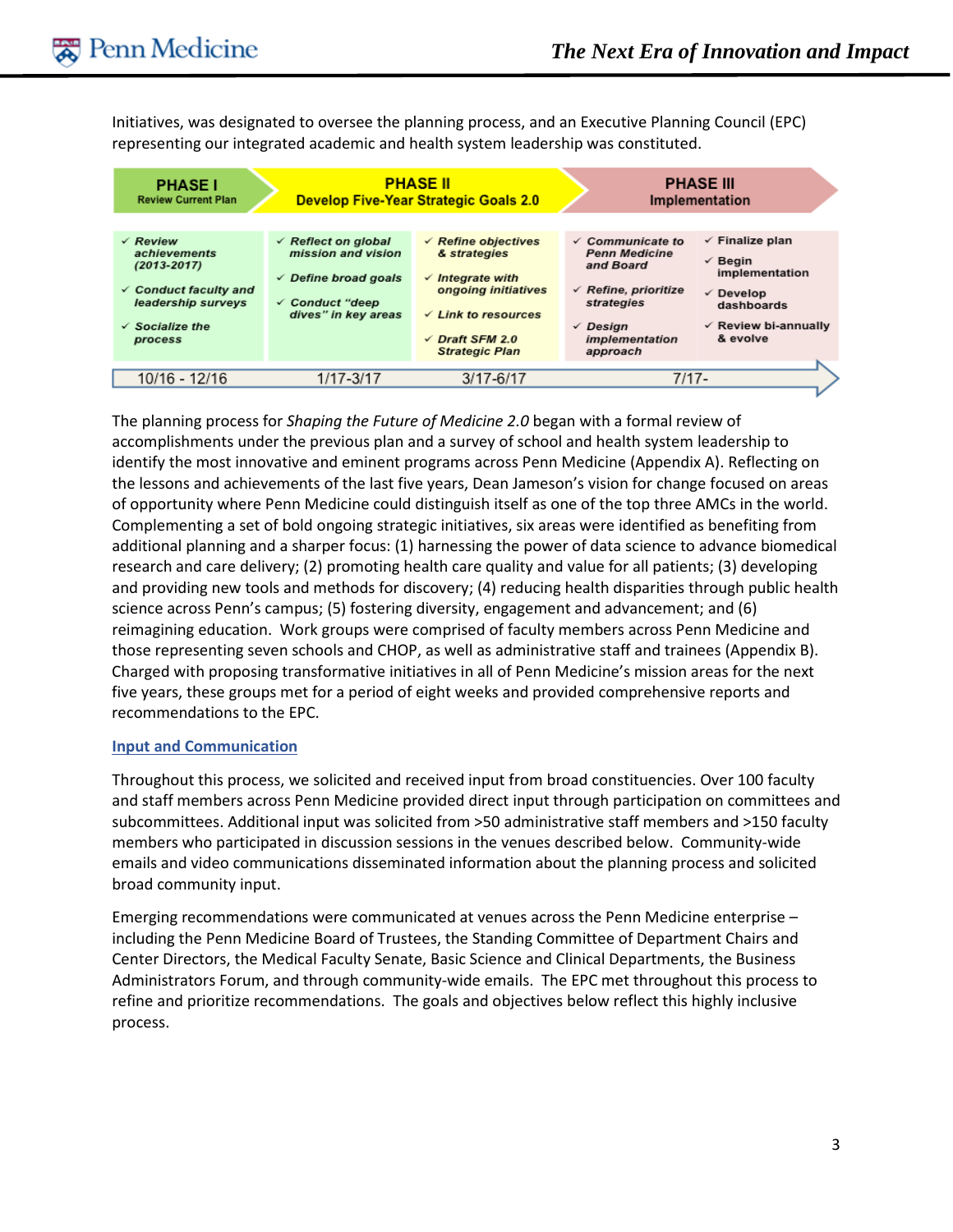Initiatives, was designated to oversee the planning process, and an Executive Planning Council (EPC) representing our integrated academic and health system leadership was constituted.



The planning process for *Shaping the Future of Medicine 2.0* began with a formal review of accomplishments under the previous plan and a survey of school and health system leadership to identify the most innovative and eminent programs across Penn Medicine (Appendix A). Reflecting on the lessons and achievements of the last five years, Dean Jameson's vision for change focused on areas of opportunity where Penn Medicine could distinguish itself as one of the top three AMCs in the world. Complementing a set of bold ongoing strategic initiatives, six areas were identified as benefiting from additional planning and a sharper focus: (1) harnessing the power of data science to advance biomedical research and care delivery; (2) promoting health care quality and value for all patients; (3) developing and providing new tools and methods for discovery; (4) reducing health disparities through public health science across Penn's campus; (5) fostering diversity, engagement and advancement; and (6) reimagining education. Work groups were comprised of faculty members across Penn Medicine and those representing seven schools and CHOP, as well as administrative staff and trainees (Appendix B). Charged with proposing transformative initiatives in all of Penn Medicine's mission areas for the next five years, these groups met for a period of eight weeks and provided comprehensive reports and recommendations to the EPC.

#### **Input and Communication**

Throughout this process, we solicited and received input from broad constituencies. Over 100 faculty and staff members across Penn Medicine provided direct input through participation on committees and subcommittees. Additional input was solicited from >50 administrative staff members and >150 faculty members who participated in discussion sessions in the venues described below. Community-wide emails and video communications disseminated information about the planning process and solicited broad community input.

Emerging recommendations were communicated at venues across the Penn Medicine enterprise – including the Penn Medicine Board of Trustees, the Standing Committee of Department Chairs and Center Directors, the Medical Faculty Senate, Basic Science and Clinical Departments, the Business Administrators Forum, and through community-wide emails. The EPC met throughout this process to refine and prioritize recommendations. The goals and objectives below reflect this highly inclusive process.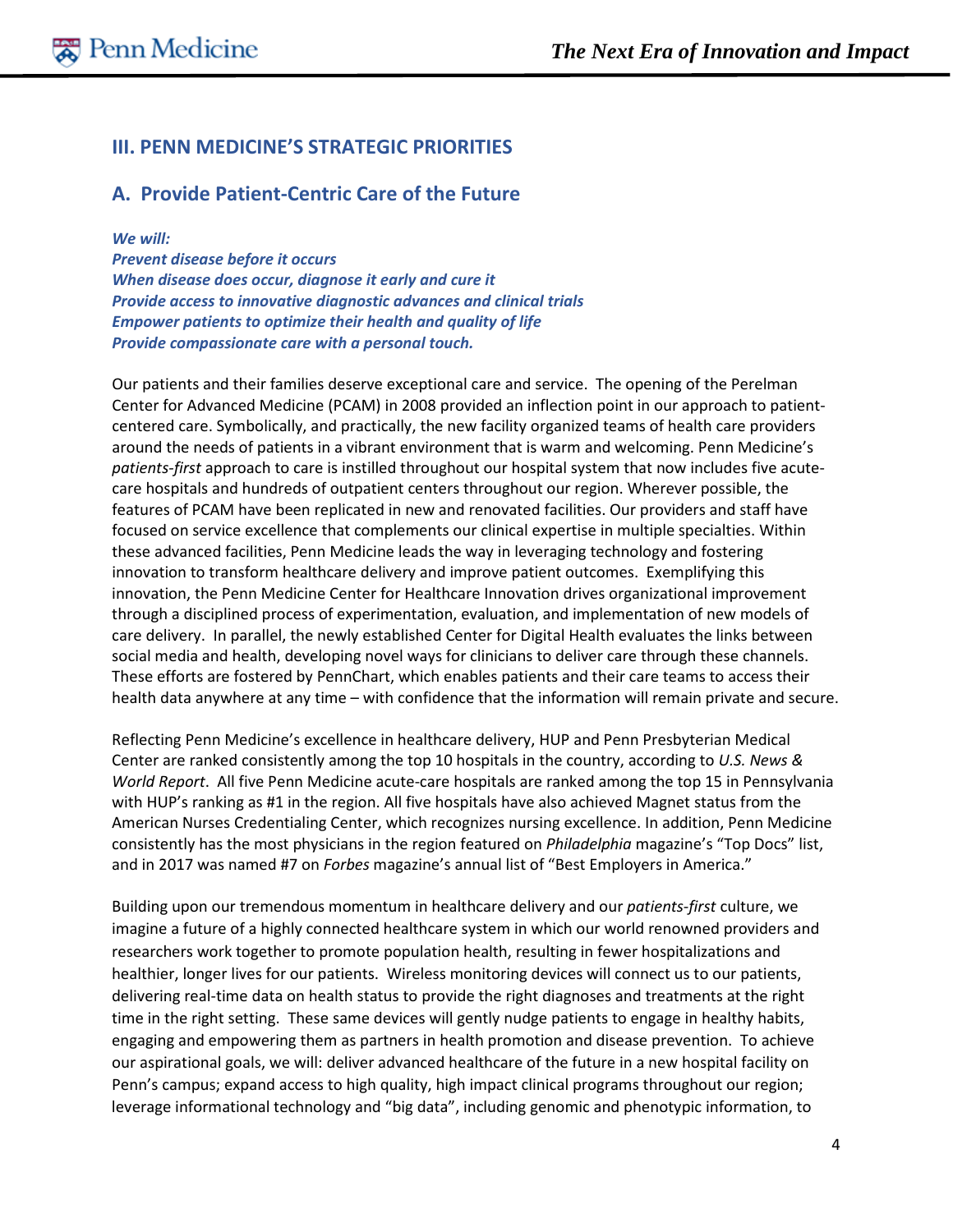# **III. PENN MEDICINE'S STRATEGIC PRIORITIES**

### **A. Provide Patient-Centric Care of the Future**

*We will:*

*Prevent disease before it occurs When disease does occur, diagnose it early and cure it Provide access to innovative diagnostic advances and clinical trials Empower patients to optimize their health and quality of life Provide compassionate care with a personal touch.*

Our patients and their families deserve exceptional care and service. The opening of the Perelman Center for Advanced Medicine (PCAM) in 2008 provided an inflection point in our approach to patientcentered care. Symbolically, and practically, the new facility organized teams of health care providers around the needs of patients in a vibrant environment that is warm and welcoming. Penn Medicine's *patients-first* approach to care is instilled throughout our hospital system that now includes five acutecare hospitals and hundreds of outpatient centers throughout our region. Wherever possible, the features of PCAM have been replicated in new and renovated facilities. Our providers and staff have focused on service excellence that complements our clinical expertise in multiple specialties. Within these advanced facilities, Penn Medicine leads the way in leveraging technology and fostering innovation to transform healthcare delivery and improve patient outcomes. Exemplifying this innovation, the Penn Medicine Center for Healthcare Innovation drives organizational improvement through a disciplined process of experimentation, evaluation, and implementation of new models of care delivery. In parallel, the newly established Center for Digital Health evaluates the links between social media and health, developing novel ways for clinicians to deliver care through these channels. These efforts are fostered by PennChart, which enables patients and their care teams to access their health data anywhere at any time – with confidence that the information will remain private and secure.

Reflecting Penn Medicine's excellence in healthcare delivery, HUP and Penn Presbyterian Medical Center are ranked consistently among the top 10 hospitals in the country, according to *U.S. News & World Report*. All five Penn Medicine acute-care hospitals are ranked among the top 15 in Pennsylvania with HUP's ranking as #1 in the region. All five hospitals have also achieved Magnet status from the American Nurses Credentialing Center, which recognizes nursing excellence. In addition, Penn Medicine consistently has the most physicians in the region featured on *Philadelphia* magazine's "Top Docs" list, and in 2017 was named #7 on *Forbes* magazine's annual list of ["Best Employers in America.](https://www.forbes.com/best-employers/list/#tab:rank)"

Building upon our tremendous momentum in healthcare delivery and our *patients-first* culture, we imagine a future of a highly connected healthcare system in which our world renowned providers and researchers work together to promote population health, resulting in fewer hospitalizations and healthier, longer lives for our patients. Wireless monitoring devices will connect us to our patients, delivering real-time data on health status to provide the right diagnoses and treatments at the right time in the right setting. These same devices will gently nudge patients to engage in healthy habits, engaging and empowering them as partners in health promotion and disease prevention. To achieve our aspirational goals, we will: deliver advanced healthcare of the future in a new hospital facility on Penn's campus; expand access to high quality, high impact clinical programs throughout our region; leverage informational technology and "big data", including genomic and phenotypic information, to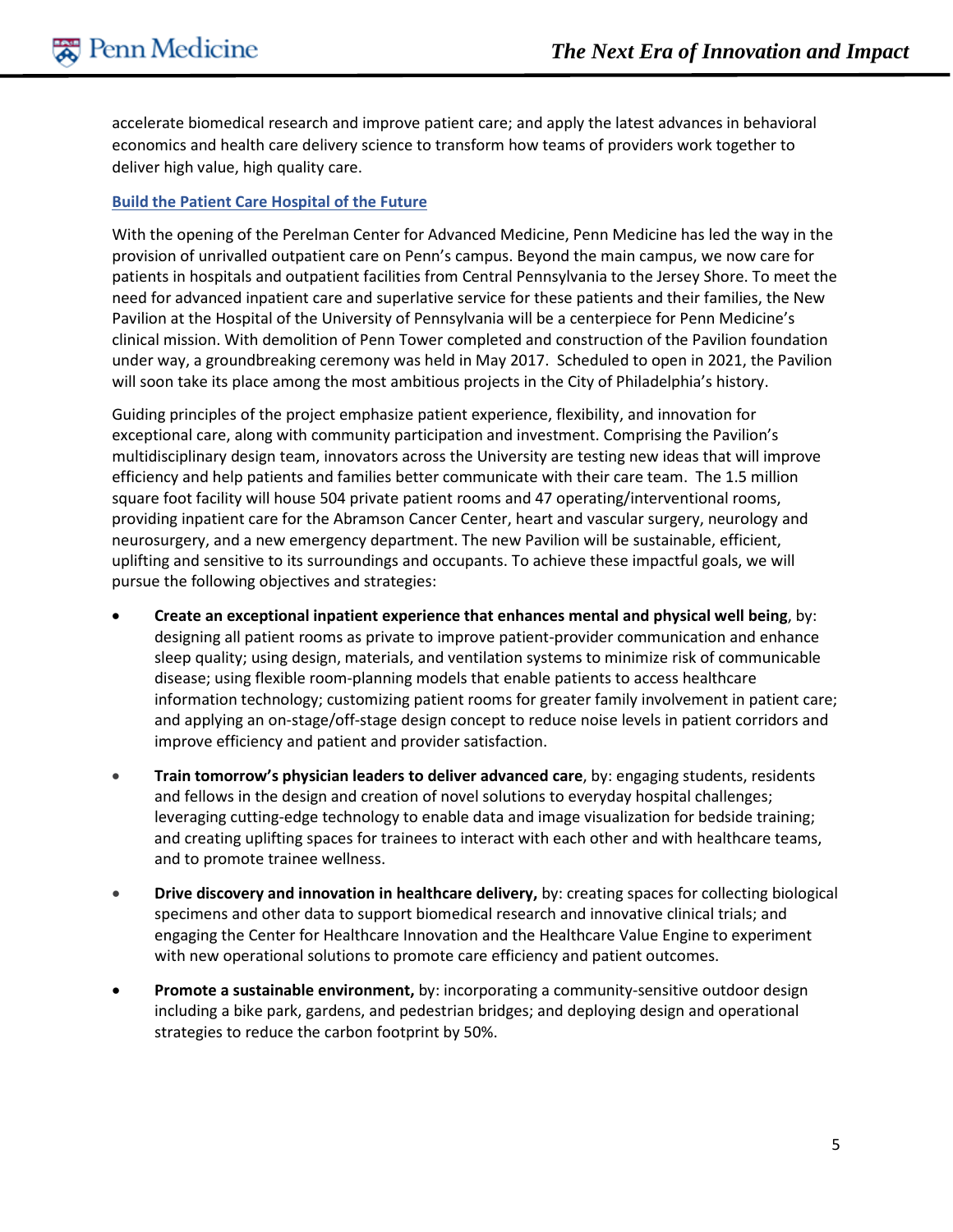accelerate biomedical research and improve patient care; and apply the latest advances in behavioral economics and health care delivery science to transform how teams of providers work together to deliver high value, high quality care.

#### **Build the Patient Care Hospital of the Future**

With the opening of the Perelman Center for Advanced Medicine, Penn Medicine has led the way in the provision of unrivalled outpatient care on Penn's campus. Beyond the main campus, we now care for patients in hospitals and outpatient facilities from Central Pennsylvania to the Jersey Shore. To meet the need for advanced inpatient care and superlative service for these patients and their families, the New Pavilion at the Hospital of the University of Pennsylvania will be a centerpiece for Penn Medicine's clinical mission. With demolition of Penn Tower completed and construction of the Pavilion foundation under way, a groundbreaking ceremony was held in May 2017. Scheduled to open in 2021, the Pavilion will soon take its place among the most ambitious projects in the City of Philadelphia's history.

Guiding principles of the project emphasize patient experience, flexibility, and innovation for exceptional care, along with community participation and investment. Comprising the Pavilion's multidisciplinary design team, innovators across the University are testing new ideas that will improve efficiency and help patients and families better communicate with their care team. The 1.5 million square foot facility will house 504 private patient rooms and 47 operating/interventional rooms, providing inpatient care for the Abramson Cancer Center, heart and vascular surgery, neurology and neurosurgery, and a new emergency department. The new Pavilion will be sustainable, efficient, uplifting and sensitive to its surroundings and occupants. To achieve these impactful goals, we will pursue the following objectives and strategies:

- **Create an exceptional inpatient experience that enhances mental and physical well being**, by: designing all patient rooms as private to improve patient-provider communication and enhance sleep quality; using design, materials, and ventilation systems to minimize risk of communicable disease; using flexible room-planning models that enable patients to access healthcare information technology; customizing patient rooms for greater family involvement in patient care; and applying an on-stage/off-stage design concept to reduce noise levels in patient corridors and improve efficiency and patient and provider satisfaction.
- **Train tomorrow's physician leaders to deliver advanced care**, by: engaging students, residents and fellows in the design and creation of novel solutions to everyday hospital challenges; leveraging cutting-edge technology to enable data and image visualization for bedside training; and creating uplifting spaces for trainees to interact with each other and with healthcare teams, and to promote trainee wellness.
- **Drive discovery and innovation in healthcare delivery,** by: creating spaces for collecting biological specimens and other data to support biomedical research and innovative clinical trials; and engaging the Center for Healthcare Innovation and the Healthcare Value Engine to experiment with new operational solutions to promote care efficiency and patient outcomes.
- **Promote a sustainable environment,** by: incorporating a community-sensitive outdoor design including a bike park, gardens, and pedestrian bridges; and deploying design and operational strategies to reduce the carbon footprint by 50%.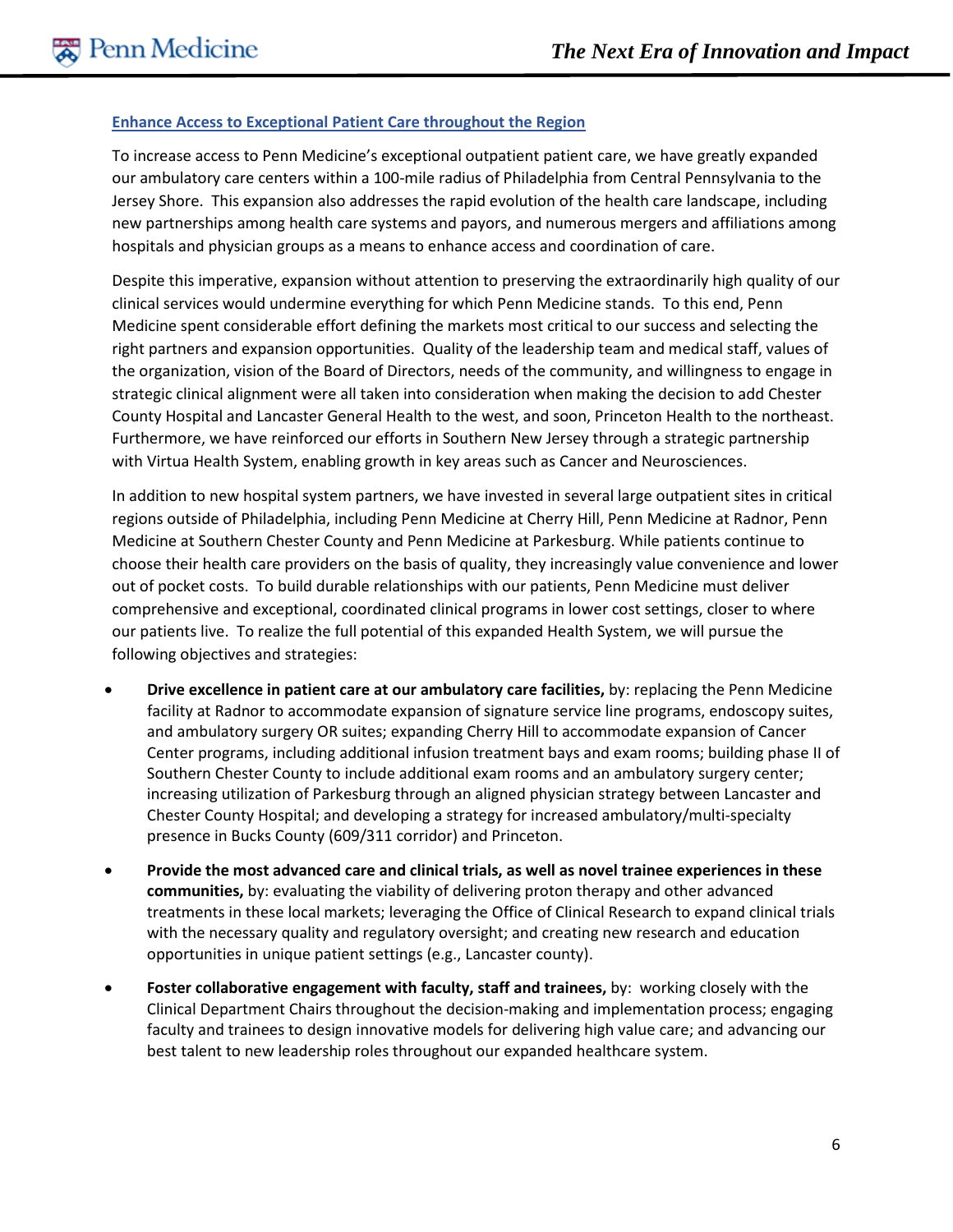#### **Enhance Access to Exceptional Patient Care throughout the Region**

To increase access to Penn Medicine's exceptional outpatient patient care, we have greatly expanded our ambulatory care centers within a 100-mile radius of Philadelphia from Central Pennsylvania to the Jersey Shore. This expansion also addresses the rapid evolution of the health care landscape, including new partnerships among health care systems and payors, and numerous mergers and affiliations among hospitals and physician groups as a means to enhance access and coordination of care.

Despite this imperative, expansion without attention to preserving the extraordinarily high quality of our clinical services would undermine everything for which Penn Medicine stands. To this end, Penn Medicine spent considerable effort defining the markets most critical to our success and selecting the right partners and expansion opportunities. Quality of the leadership team and medical staff, values of the organization, vision of the Board of Directors, needs of the community, and willingness to engage in strategic clinical alignment were all taken into consideration when making the decision to add Chester County Hospital and Lancaster General Health to the west, and soon, Princeton Health to the northeast. Furthermore, we have reinforced our efforts in Southern New Jersey through a strategic partnership with Virtua Health System, enabling growth in key areas such as Cancer and Neurosciences.

In addition to new hospital system partners, we have invested in several large outpatient sites in critical regions outside of Philadelphia, including Penn Medicine at Cherry Hill, Penn Medicine at Radnor, Penn Medicine at Southern Chester County and Penn Medicine at Parkesburg. While patients continue to choose their health care providers on the basis of quality, they increasingly value convenience and lower out of pocket costs. To build durable relationships with our patients, Penn Medicine must deliver comprehensive and exceptional, coordinated clinical programs in lower cost settings, closer to where our patients live. To realize the full potential of this expanded Health System, we will pursue the following objectives and strategies:

- **Drive excellence in patient care at our ambulatory care facilities,** by: replacing the Penn Medicine facility at Radnor to accommodate expansion of signature service line programs, endoscopy suites, and ambulatory surgery OR suites; expanding Cherry Hill to accommodate expansion of Cancer Center programs, including additional infusion treatment bays and exam rooms; building phase II of Southern Chester County to include additional exam rooms and an ambulatory surgery center; increasing utilization of Parkesburg through an aligned physician strategy between Lancaster and Chester County Hospital; and developing a strategy for increased ambulatory/multi-specialty presence in Bucks County (609/311 corridor) and Princeton.
- **Provide the most advanced care and clinical trials, as well as novel trainee experiences in these communities,** by: evaluating the viability of delivering proton therapy and other advanced treatments in these local markets; leveraging the Office of Clinical Research to expand clinical trials with the necessary quality and regulatory oversight; and creating new research and education opportunities in unique patient settings (e.g., Lancaster county).
- **Foster collaborative engagement with faculty, staff and trainees,** by: working closely with the Clinical Department Chairs throughout the decision-making and implementation process; engaging faculty and trainees to design innovative models for delivering high value care; and advancing our best talent to new leadership roles throughout our expanded healthcare system.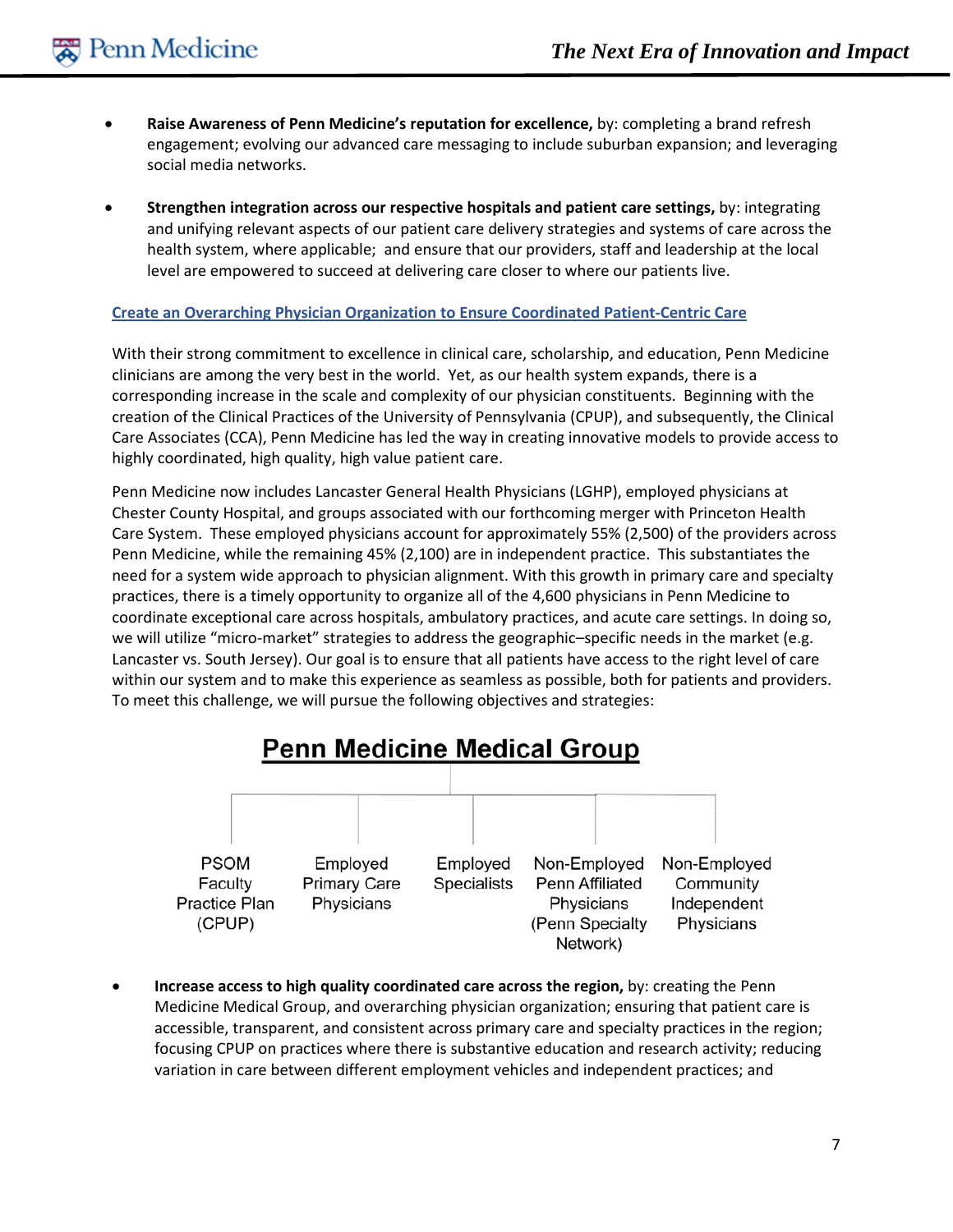- **Raise Awareness of Penn Medicine's reputation for excellence,** by: completing a brand refresh engagement; evolving our advanced care messaging to include suburban expansion; and leveraging social media networks.
- **Strengthen integration across our respective hospitals and patient care settings,** by: integrating and unifying relevant aspects of our patient care delivery strategies and systems of care across the health system, where applicable; and ensure that our providers, staff and leadership at the local level are empowered to succeed at delivering care closer to where our patients live.

#### **Create an Overarching Physician Organization to Ensure Coordinated Patient-Centric Care**

With their strong commitment to excellence in clinical care, scholarship, and education, Penn Medicine clinicians are among the very best in the world. Yet, as our health system expands, there is a corresponding increase in the scale and complexity of our physician constituents. Beginning with the creation of the Clinical Practices of the University of Pennsylvania (CPUP), and subsequently, the Clinical Care Associates (CCA), Penn Medicine has led the way in creating innovative models to provide access to highly coordinated, high quality, high value patient care.

Penn Medicine now includes Lancaster General Health Physicians (LGHP), employed physicians at Chester County Hospital, and groups associated with our forthcoming merger with Princeton Health Care System. These employed physicians account for approximately 55% (2,500) of the providers across Penn Medicine, while the remaining 45% (2,100) are in independent practice. This substantiates the need for a system wide approach to physician alignment. With this growth in primary care and specialty practices, there is a timely opportunity to organize all of the 4,600 physicians in Penn Medicine to coordinate exceptional care across hospitals, ambulatory practices, and acute care settings. In doing so, we will utilize "micro-market" strategies to address the geographic–specific needs in the market (e.g. Lancaster vs. South Jersey). Our goal is to ensure that all patients have access to the right level of care within our system and to make this experience as seamless as possible, both for patients and providers. To meet this challenge, we will pursue the following objectives and strategies:



• **Increase access to high quality coordinated care across the region,** by: creating the Penn Medicine Medical Group, and overarching physician organization; ensuring that patient care is accessible, transparent, and consistent across primary care and specialty practices in the region; focusing CPUP on practices where there is substantive education and research activity; reducing variation in care between different employment vehicles and independent practices; and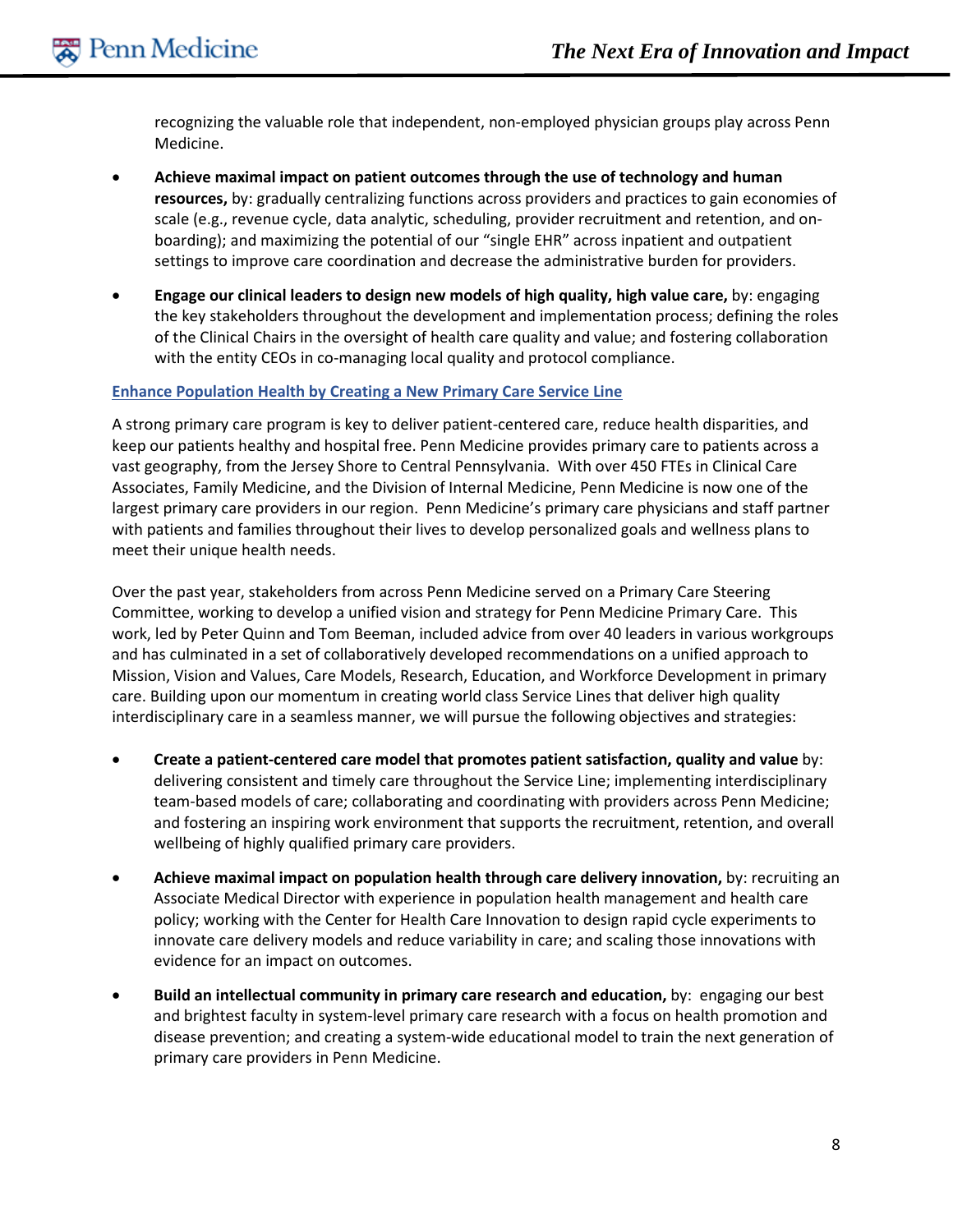recognizing the valuable role that independent, non-employed physician groups play across Penn Medicine.

- **Achieve maximal impact on patient outcomes through the use of technology and human resources,** by: gradually centralizing functions across providers and practices to gain economies of scale (e.g., revenue cycle, data analytic, scheduling, provider recruitment and retention, and onboarding); and maximizing the potential of our "single EHR" across inpatient and outpatient settings to improve care coordination and decrease the administrative burden for providers.
- **Engage our clinical leaders to design new models of high quality, high value care,** by: engaging the key stakeholders throughout the development and implementation process; defining the roles of the Clinical Chairs in the oversight of health care quality and value; and fostering collaboration with the entity CEOs in co-managing local quality and protocol compliance.

#### **Enhance Population Health by Creating a New Primary Care Service Line**

A strong primary care program is key to deliver patient-centered care, reduce health disparities, and keep our patients healthy and hospital free. Penn Medicine provides primary care to patients across a vast geography, from the Jersey Shore to Central Pennsylvania. With over 450 FTEs in Clinical Care Associates, Family Medicine, and the Division of Internal Medicine, Penn Medicine is now one of the largest primary care providers in our region. Penn Medicine's primary care physicians and staff partner with patients and families throughout their lives to develop personalized goals and wellness plans to meet their unique health needs.

Over the past year, stakeholders from across Penn Medicine served on a Primary Care Steering Committee, working to develop a unified vision and strategy for Penn Medicine Primary Care. This work, led by Peter Quinn and Tom Beeman, included advice from over 40 leaders in various workgroups and has culminated in a set of collaboratively developed recommendations on a unified approach to Mission, Vision and Values, Care Models, Research, Education, and Workforce Development in primary care. Building upon our momentum in creating world class Service Lines that deliver high quality interdisciplinary care in a seamless manner, we will pursue the following objectives and strategies:

- **Create a patient-centered care model that promotes patient satisfaction, quality and value** by: delivering consistent and timely care throughout the Service Line; implementing interdisciplinary team-based models of care; collaborating and coordinating with providers across Penn Medicine; and fostering an inspiring work environment that supports the recruitment, retention, and overall wellbeing of highly qualified primary care providers.
- **Achieve maximal impact on population health through care delivery innovation,** by: recruiting an Associate Medical Director with experience in population health management and health care policy; working with the Center for Health Care Innovation to design rapid cycle experiments to innovate care delivery models and reduce variability in care; and scaling those innovations with evidence for an impact on outcomes.
- **Build an intellectual community in primary care research and education,** by: engaging our best and brightest faculty in system-level primary care research with a focus on health promotion and disease prevention; and creating a system-wide educational model to train the next generation of primary care providers in Penn Medicine.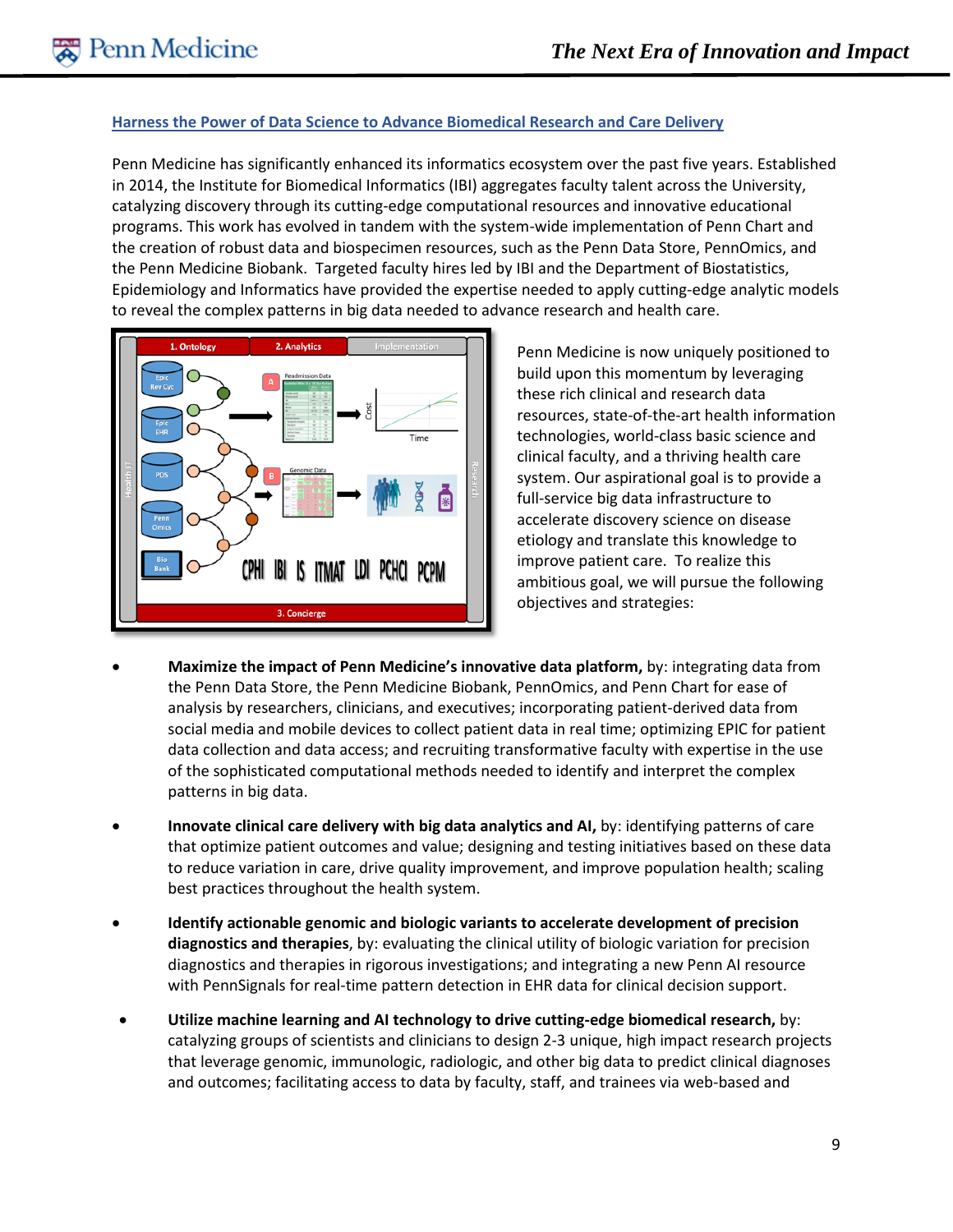#### **Harness the Power of Data Science to Advance Biomedical Research and Care Delivery**

Penn Medicine has significantly enhanced its informatics ecosystem over the past five years. Established in 2014, the Institute for Biomedical Informatics (IBI) aggregates faculty talent across the University, catalyzing discovery through its cutting-edge computational resources and innovative educational programs. This work has evolved in tandem with the system-wide implementation of Penn Chart and the creation of robust data and biospecimen resources, such as the Penn Data Store, PennOmics, and the Penn Medicine Biobank. Targeted faculty hires led by IBI and the Department of Biostatistics, Epidemiology and Informatics have provided the expertise needed to apply cutting-edge analytic models to reveal the complex patterns in big data needed to advance research and health care.



Penn Medicine is now uniquely positioned to build upon this momentum by leveraging these rich clinical and research data resources, state-of-the-art health information technologies, world-class basic science and clinical faculty, and a thriving health care system. Our aspirational goal is to provide a full-service big data infrastructure to accelerate discovery science on disease etiology and translate this knowledge to improve patient care. To realize this ambitious goal, we will pursue the following objectives and strategies:

- **Maximize the impact of Penn Medicine's innovative data platform,** by: integrating data from the Penn Data Store, the Penn Medicine Biobank, PennOmics, and Penn Chart for ease of analysis by researchers, clinicians, and executives; incorporating patient-derived data from social media and mobile devices to collect patient data in real time; optimizing EPIC for patient data collection and data access; and recruiting transformative faculty with expertise in the use of the sophisticated computational methods needed to identify and interpret the complex patterns in big data.
- **Innovate clinical care delivery with big data analytics and AI,** by: identifying patterns of care that optimize patient outcomes and value; designing and testing initiatives based on these data to reduce variation in care, drive quality improvement, and improve population health; scaling best practices throughout the health system.
- **Identify actionable genomic and biologic variants to accelerate development of precision diagnostics and therapies**, by: evaluating the clinical utility of biologic variation for precision diagnostics and therapies in rigorous investigations; and integrating a new Penn AI resource with PennSignals for real-time pattern detection in EHR data for clinical decision support.
- **Utilize machine learning and AI technology to drive cutting-edge biomedical research,** by: catalyzing groups of scientists and clinicians to design 2-3 unique, high impact research projects that leverage genomic, immunologic, radiologic, and other big data to predict clinical diagnoses and outcomes; facilitating access to data by faculty, staff, and trainees via web-based and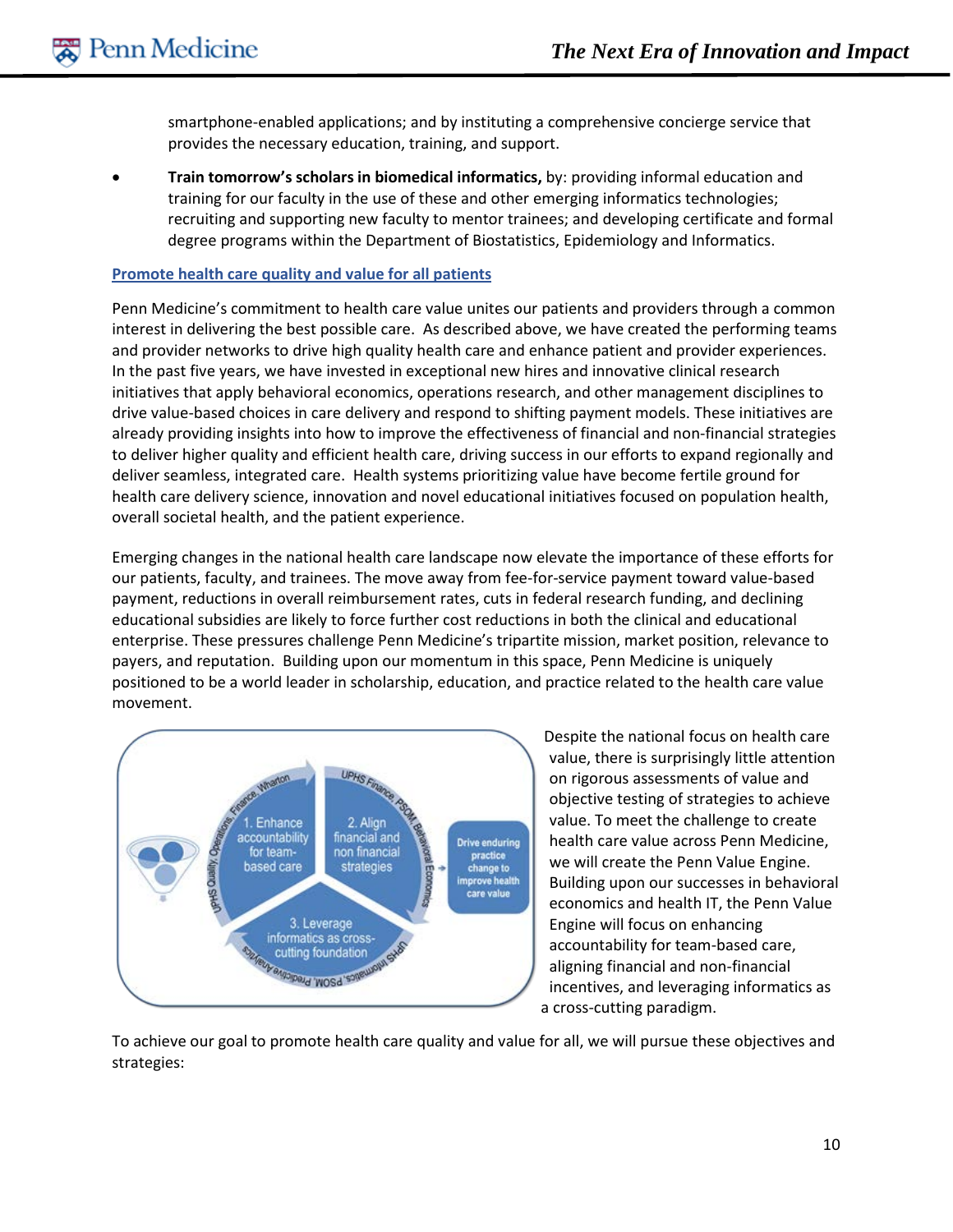smartphone-enabled applications; and by instituting a comprehensive concierge service that provides the necessary education, training, and support.

• **Train tomorrow's scholars in biomedical informatics,** by: providing informal education and training for our faculty in the use of these and other emerging informatics technologies; recruiting and supporting new faculty to mentor trainees; and developing certificate and formal degree programs within the Department of Biostatistics, Epidemiology and Informatics.

#### **Promote health care quality and value for all patients**

Penn Medicine's commitment to health care value unites our patients and providers through a common interest in delivering the best possible care. As described above, we have created the performing teams and provider networks to drive high quality health care and enhance patient and provider experiences. In the past five years, we have invested in exceptional new hires and innovative clinical research initiatives that apply behavioral economics, operations research, and other management disciplines to drive value-based choices in care delivery and respond to shifting payment models. These initiatives are already providing insights into how to improve the effectiveness of financial and non-financial strategies to deliver higher quality and efficient health care, driving success in our efforts to expand regionally and deliver seamless, integrated care. Health systems prioritizing value have become fertile ground for health care delivery science, innovation and novel educational initiatives focused on population health, overall societal health, and the patient experience.

Emerging changes in the national health care landscape now elevate the importance of these efforts for our patients, faculty, and trainees. The move away from fee-for-service payment toward value-based payment, reductions in overall reimbursement rates, cuts in federal research funding, and declining educational subsidies are likely to force further cost reductions in both the clinical and educational enterprise. These pressures challenge Penn Medicine's tripartite mission, market position, relevance to payers, and reputation. Building upon our momentum in this space, Penn Medicine is uniquely positioned to be a world leader in scholarship, education, and practice related to the health care value movement.



Despite the national focus on health care value, there is surprisingly little attention on rigorous assessments of value and objective testing of strategies to achieve value. To meet the challenge to create health care value across Penn Medicine, we will create the Penn Value Engine. Building upon our successes in behavioral economics and health IT, the Penn Value Engine will focus on enhancing accountability for team-based care, aligning financial and non-financial incentives, and leveraging informatics as a cross-cutting paradigm.

To achieve our goal to promote health care quality and value for all, we will pursue these objectives and strategies: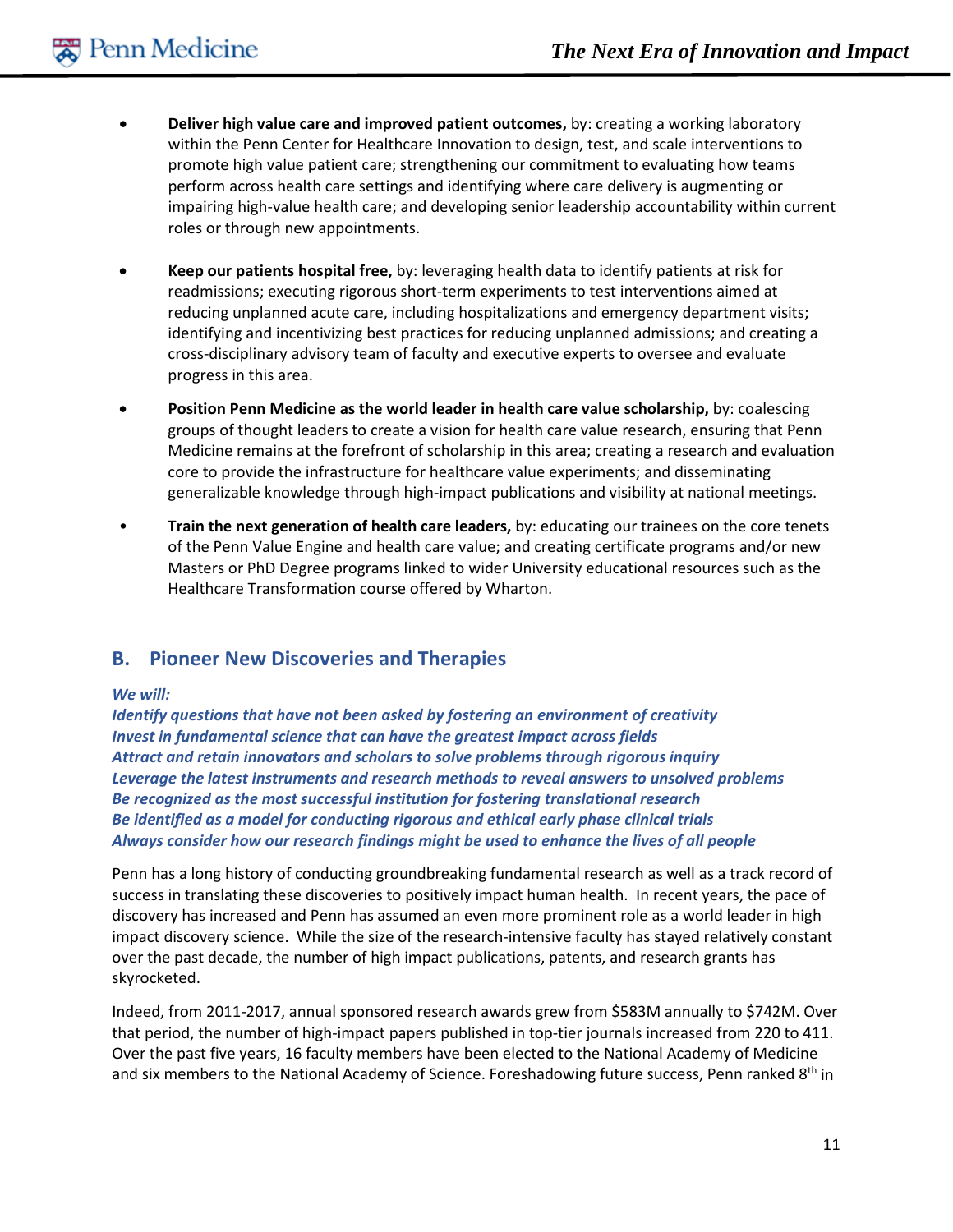- **Deliver high value care and improved patient outcomes,** by: creating a working laboratory within the Penn Center for Healthcare Innovation to design, test, and scale interventions to promote high value patient care; strengthening our commitment to evaluating how teams perform across health care settings and identifying where care delivery is augmenting or impairing high-value health care; and developing senior leadership accountability within current roles or through new appointments.
- **Keep our patients hospital free,** by: leveraging health data to identify patients at risk for readmissions; executing rigorous short-term experiments to test interventions aimed at reducing unplanned acute care, including hospitalizations and emergency department visits; identifying and incentivizing best practices for reducing unplanned admissions; and creating a cross-disciplinary advisory team of faculty and executive experts to oversee and evaluate progress in this area.
- **Position Penn Medicine as the world leader in health care value scholarship,** by: coalescing groups of thought leaders to create a vision for health care value research, ensuring that Penn Medicine remains at the forefront of scholarship in this area; creating a research and evaluation core to provide the infrastructure for healthcare value experiments; and disseminating generalizable knowledge through high-impact publications and visibility at national meetings.
- **Train the next generation of health care leaders,** by: educating our trainees on the core tenets of the Penn Value Engine and health care value; and creating certificate programs and/or new Masters or PhD Degree programs linked to wider University educational resources such as the Healthcare Transformation course offered by Wharton.

# **B. Pioneer New Discoveries and Therapies**

#### *We will:*

*Identify questions that have not been asked by fostering an environment of creativity Invest in fundamental science that can have the greatest impact across fields Attract and retain innovators and scholars to solve problems through rigorous inquiry Leverage the latest instruments and research methods to reveal answers to unsolved problems Be recognized as the most successful institution for fostering translational research Be identified as a model for conducting rigorous and ethical early phase clinical trials Always consider how our research findings might be used to enhance the lives of all people*

Penn has a long history of conducting groundbreaking fundamental research as well as a track record of success in translating these discoveries to positively impact human health. In recent years, the pace of discovery has increased and Penn has assumed an even more prominent role as a world leader in high impact discovery science. While the size of the research-intensive faculty has stayed relatively constant over the past decade, the number of high impact publications, patents, and research grants has skyrocketed.

Indeed, from 2011-2017, annual sponsored research awards grew from \$583M annually to \$742M. Over that period, the number of high-impact papers published in top-tier journals increased from 220 to 411. Over the past five years, 16 faculty members have been elected to the National Academy of Medicine and six members to the National Academy of Science. Foreshadowing future success, Penn ranked 8th in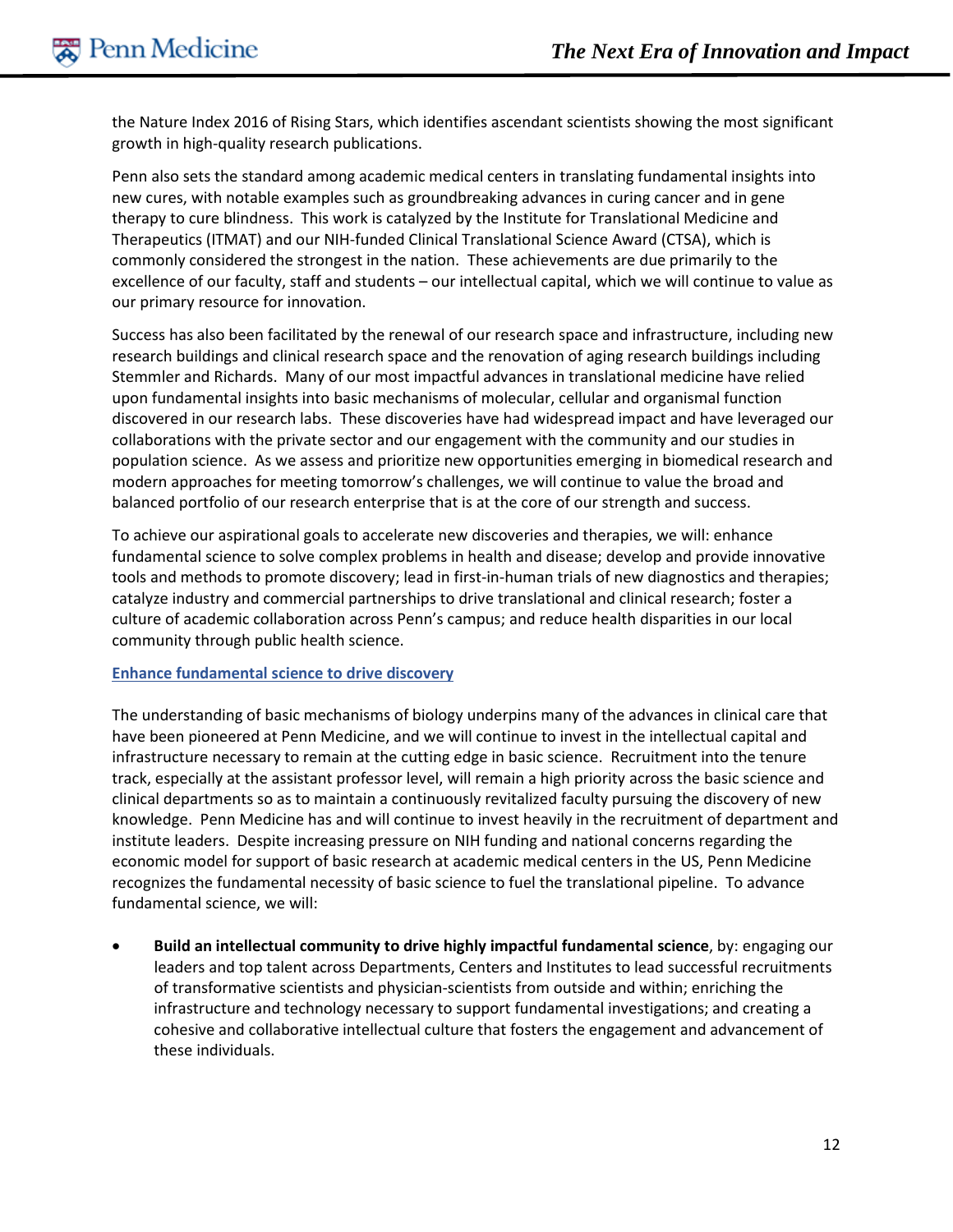the Nature Index 2016 of Rising Stars, which identifies ascendant scientists showing the most significant growth in high-quality research publications.

Penn also sets the standard among academic medical centers in translating fundamental insights into new cures, with notable examples such as groundbreaking advances in curing cancer and in gene therapy to cure blindness. This work is catalyzed by the Institute for Translational Medicine and Therapeutics (ITMAT) and our NIH-funded Clinical Translational Science Award (CTSA), which is commonly considered the strongest in the nation. These achievements are due primarily to the excellence of our faculty, staff and students – our intellectual capital, which we will continue to value as our primary resource for innovation.

Success has also been facilitated by the renewal of our research space and infrastructure, including new research buildings and clinical research space and the renovation of aging research buildings including Stemmler and Richards. Many of our most impactful advances in translational medicine have relied upon fundamental insights into basic mechanisms of molecular, cellular and organismal function discovered in our research labs. These discoveries have had widespread impact and have leveraged our collaborations with the private sector and our engagement with the community and our studies in population science. As we assess and prioritize new opportunities emerging in biomedical research and modern approaches for meeting tomorrow's challenges, we will continue to value the broad and balanced portfolio of our research enterprise that is at the core of our strength and success.

To achieve our aspirational goals to accelerate new discoveries and therapies, we will: enhance fundamental science to solve complex problems in health and disease; develop and provide innovative tools and methods to promote discovery; lead in first-in-human trials of new diagnostics and therapies; catalyze industry and commercial partnerships to drive translational and clinical research; foster a culture of academic collaboration across Penn's campus; and reduce health disparities in our local community through public health science.

#### **Enhance fundamental science to drive discovery**

The understanding of basic mechanisms of biology underpins many of the advances in clinical care that have been pioneered at Penn Medicine, and we will continue to invest in the intellectual capital and infrastructure necessary to remain at the cutting edge in basic science. Recruitment into the tenure track, especially at the assistant professor level, will remain a high priority across the basic science and clinical departments so as to maintain a continuously revitalized faculty pursuing the discovery of new knowledge. Penn Medicine has and will continue to invest heavily in the recruitment of department and institute leaders. Despite increasing pressure on NIH funding and national concerns regarding the economic model for support of basic research at academic medical centers in the US, Penn Medicine recognizes the fundamental necessity of basic science to fuel the translational pipeline. To advance fundamental science, we will:

• **Build an intellectual community to drive highly impactful fundamental science**, by: engaging our leaders and top talent across Departments, Centers and Institutes to lead successful recruitments of transformative scientists and physician-scientists from outside and within; enriching the infrastructure and technology necessary to support fundamental investigations; and creating a cohesive and collaborative intellectual culture that fosters the engagement and advancement of these individuals.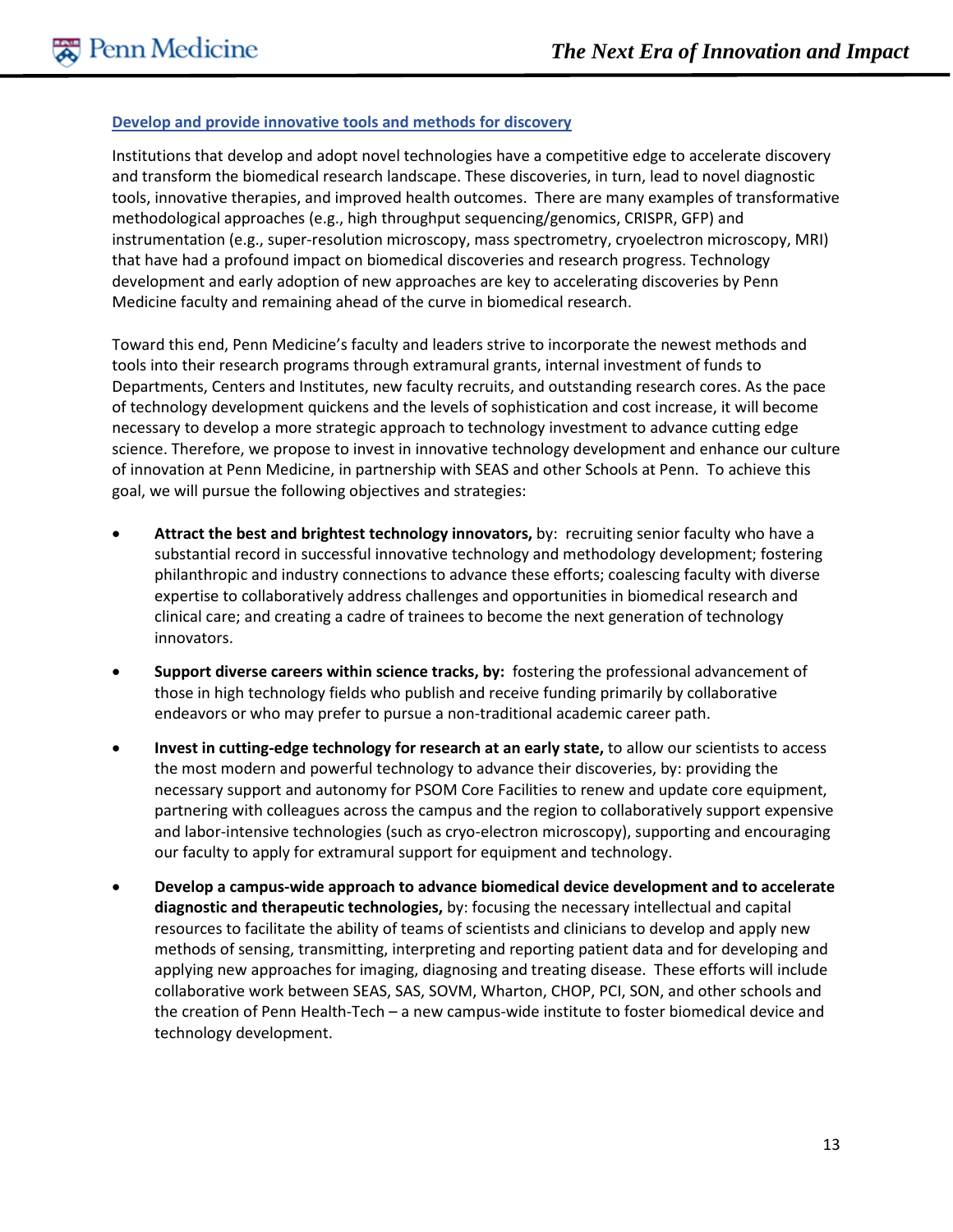#### **Develop and provide innovative tools and methods for discovery**

Institutions that develop and adopt novel technologies have a competitive edge to accelerate discovery and transform the biomedical research landscape. These discoveries, in turn, lead to novel diagnostic tools, innovative therapies, and improved health outcomes. There are many examples of transformative methodological approaches (e.g., high throughput sequencing/genomics, CRISPR, GFP) and instrumentation (e.g., super-resolution microscopy, mass spectrometry, cryoelectron microscopy, MRI) that have had a profound impact on biomedical discoveries and research progress. Technology development and early adoption of new approaches are key to accelerating discoveries by Penn Medicine faculty and remaining ahead of the curve in biomedical research.

Toward this end, Penn Medicine's faculty and leaders strive to incorporate the newest methods and tools into their research programs through extramural grants, internal investment of funds to Departments, Centers and Institutes, new faculty recruits, and outstanding research cores. As the pace of technology development quickens and the levels of sophistication and cost increase, it will become necessary to develop a more strategic approach to technology investment to advance cutting edge science. Therefore, we propose to invest in innovative technology development and enhance our culture of innovation at Penn Medicine, in partnership with SEAS and other Schools at Penn. To achieve this goal, we will pursue the following objectives and strategies:

- **Attract the best and brightest technology innovators,** by: recruiting senior faculty who have a substantial record in successful innovative technology and methodology development; fostering philanthropic and industry connections to advance these efforts; coalescing faculty with diverse expertise to collaboratively address challenges and opportunities in biomedical research and clinical care; and creating a cadre of trainees to become the next generation of technology innovators.
- **Support diverse careers within science tracks, by:** fostering the professional advancement of those in high technology fields who publish and receive funding primarily by collaborative endeavors or who may prefer to pursue a non-traditional academic career path.
- **Invest in cutting-edge technology for research at an early state,** to allow our scientists to access the most modern and powerful technology to advance their discoveries, by: providing the necessary support and autonomy for PSOM Core Facilities to renew and update core equipment, partnering with colleagues across the campus and the region to collaboratively support expensive and labor-intensive technologies (such as cryo-electron microscopy), supporting and encouraging our faculty to apply for extramural support for equipment and technology.
- **Develop a campus-wide approach to advance biomedical device development and to accelerate diagnostic and therapeutic technologies,** by: focusing the necessary intellectual and capital resources to facilitate the ability of teams of scientists and clinicians to develop and apply new methods of sensing, transmitting, interpreting and reporting patient data and for developing and applying new approaches for imaging, diagnosing and treating disease. These efforts will include collaborative work between SEAS, SAS, SOVM, Wharton, CHOP, PCI, SON, and other schools and the creation of Penn Health-Tech – a new campus-wide institute to foster biomedical device and technology development.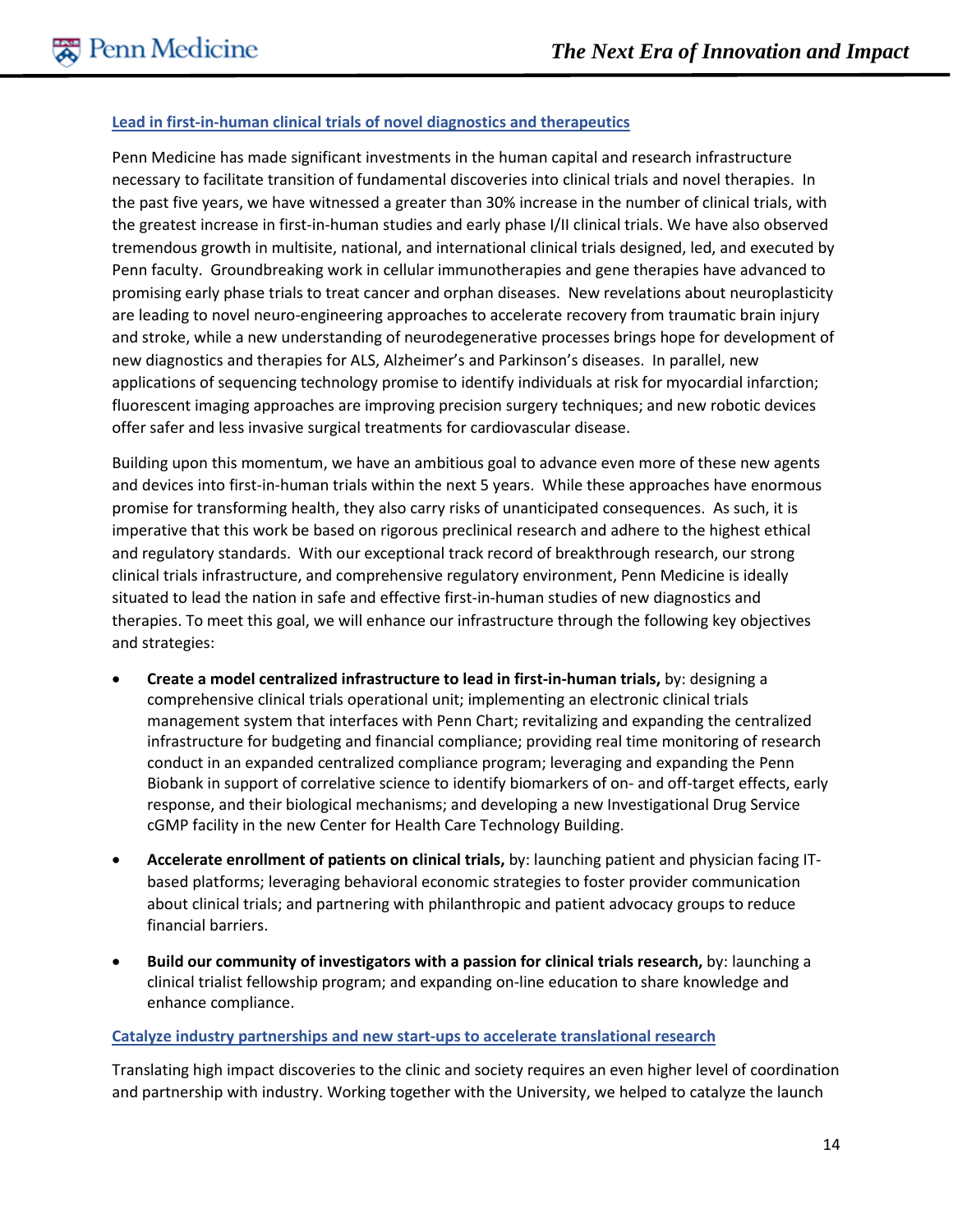#### **Lead in first-in-human clinical trials of novel diagnostics and therapeutics**

Penn Medicine has made significant investments in the human capital and research infrastructure necessary to facilitate transition of fundamental discoveries into clinical trials and novel therapies. In the past five years, we have witnessed a greater than 30% increase in the number of clinical trials, with the greatest increase in first-in-human studies and early phase I/II clinical trials. We have also observed tremendous growth in multisite, national, and international clinical trials designed, led, and executed by Penn faculty. Groundbreaking work in cellular immunotherapies and gene therapies have advanced to promising early phase trials to treat cancer and orphan diseases. New revelations about neuroplasticity are leading to novel neuro-engineering approaches to accelerate recovery from traumatic brain injury and stroke, while a new understanding of neurodegenerative processes brings hope for development of new diagnostics and therapies for ALS, Alzheimer's and Parkinson's diseases. In parallel, new applications of sequencing technology promise to identify individuals at risk for myocardial infarction; fluorescent imaging approaches are improving precision surgery techniques; and new robotic devices offer safer and less invasive surgical treatments for cardiovascular disease.

Building upon this momentum, we have an ambitious goal to advance even more of these new agents and devices into first-in-human trials within the next 5 years. While these approaches have enormous promise for transforming health, they also carry risks of unanticipated consequences. As such, it is imperative that this work be based on rigorous preclinical research and adhere to the highest ethical and regulatory standards. With our exceptional track record of breakthrough research, our strong clinical trials infrastructure, and comprehensive regulatory environment, Penn Medicine is ideally situated to lead the nation in safe and effective first-in-human studies of new diagnostics and therapies. To meet this goal, we will enhance our infrastructure through the following key objectives and strategies:

- **Create a model centralized infrastructure to lead in first-in-human trials,** by: designing a comprehensive clinical trials operational unit; implementing an electronic clinical trials management system that interfaces with Penn Chart; revitalizing and expanding the centralized infrastructure for budgeting and financial compliance; providing real time monitoring of research conduct in an expanded centralized compliance program; leveraging and expanding the Penn Biobank in support of correlative science to identify biomarkers of on- and off-target effects, early response, and their biological mechanisms; and developing a new Investigational Drug Service cGMP facility in the new Center for Health Care Technology Building.
- **Accelerate enrollment of patients on clinical trials,** by: launching patient and physician facing ITbased platforms; leveraging behavioral economic strategies to foster provider communication about clinical trials; and partnering with philanthropic and patient advocacy groups to reduce financial barriers.
- **Build our community of investigators with a passion for clinical trials research,** by: launching a clinical trialist fellowship program; and expanding on-line education to share knowledge and enhance compliance.

#### **Catalyze industry partnerships and new start-ups to accelerate translational research**

Translating high impact discoveries to the clinic and society requires an even higher level of coordination and partnership with industry. Working together with the University, we helped to catalyze the launch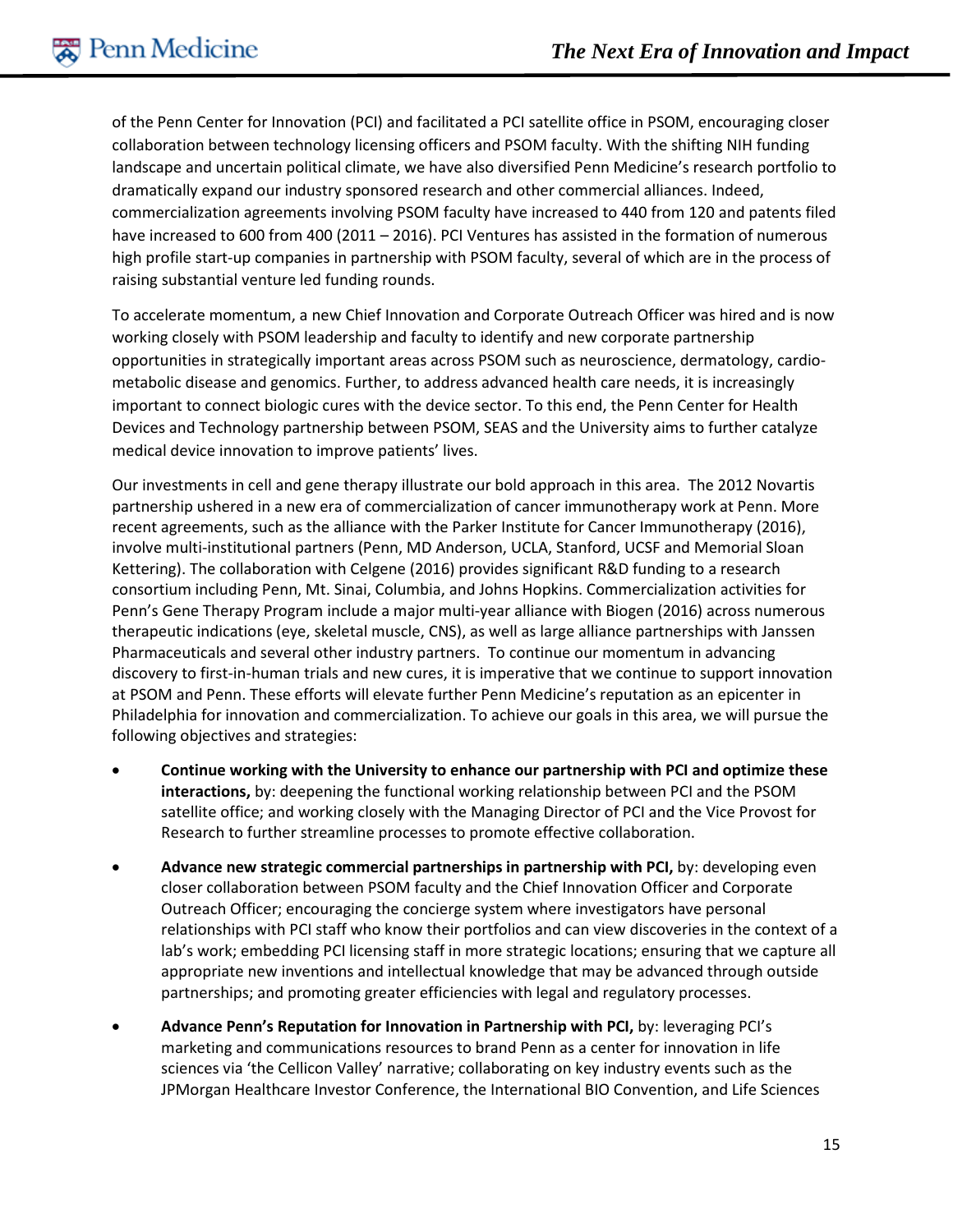of the Penn Center for Innovation (PCI) and facilitated a PCI satellite office in PSOM, encouraging closer collaboration between technology licensing officers and PSOM faculty. With the shifting NIH funding landscape and uncertain political climate, we have also diversified Penn Medicine's research portfolio to dramatically expand our industry sponsored research and other commercial alliances. Indeed, commercialization agreements involving PSOM faculty have increased to 440 from 120 and patents filed have increased to 600 from 400 (2011 – 2016). PCI Ventures has assisted in the formation of numerous high profile start-up companies in partnership with PSOM faculty, several of which are in the process of raising substantial venture led funding rounds.

To accelerate momentum, a new Chief Innovation and Corporate Outreach Officer was hired and is now working closely with PSOM leadership and faculty to identify and new corporate partnership opportunities in strategically important areas across PSOM such as neuroscience, dermatology, cardiometabolic disease and genomics. Further, to address advanced health care needs, it is increasingly important to connect biologic cures with the device sector. To this end, the Penn Center for Health Devices and Technology partnership between PSOM, SEAS and the University aims to further catalyze medical device innovation to improve patients' lives.

Our investments in cell and gene therapy illustrate our bold approach in this area. The 2012 Novartis partnership ushered in a new era of commercialization of cancer immunotherapy work at Penn. More recent agreements, such as the alliance with the Parker Institute for Cancer Immunotherapy (2016), involve multi-institutional partners (Penn, MD Anderson, UCLA, Stanford, UCSF and Memorial Sloan Kettering). The collaboration with Celgene (2016) provides significant R&D funding to a research consortium including Penn, Mt. Sinai, Columbia, and Johns Hopkins. Commercialization activities for Penn's Gene Therapy Program include a major multi-year alliance with Biogen (2016) across numerous therapeutic indications (eye, skeletal muscle, CNS), as well as large alliance partnerships with Janssen Pharmaceuticals and several other industry partners. To continue our momentum in advancing discovery to first-in-human trials and new cures, it is imperative that we continue to support innovation at PSOM and Penn. These efforts will elevate further Penn Medicine's reputation as an epicenter in Philadelphia for innovation and commercialization. To achieve our goals in this area, we will pursue the following objectives and strategies:

- **Continue working with the University to enhance our partnership with PCI and optimize these interactions,** by: deepening the functional working relationship between PCI and the PSOM satellite office; and working closely with the Managing Director of PCI and the Vice Provost for Research to further streamline processes to promote effective collaboration.
- **Advance new strategic commercial partnerships in partnership with PCI,** by: developing even closer collaboration between PSOM faculty and the Chief Innovation Officer and Corporate Outreach Officer; encouraging the concierge system where investigators have personal relationships with PCI staff who know their portfolios and can view discoveries in the context of a lab's work; embedding PCI licensing staff in more strategic locations; ensuring that we capture all appropriate new inventions and intellectual knowledge that may be advanced through outside partnerships; and promoting greater efficiencies with legal and regulatory processes.
- **Advance Penn's Reputation for Innovation in Partnership with PCI,** by: leveraging PCI's marketing and communications resources to brand Penn as a center for innovation in life sciences via 'the Cellicon Valley' narrative; collaborating on key industry events such as the JPMorgan Healthcare Investor Conference, the International BIO Convention, and Life Sciences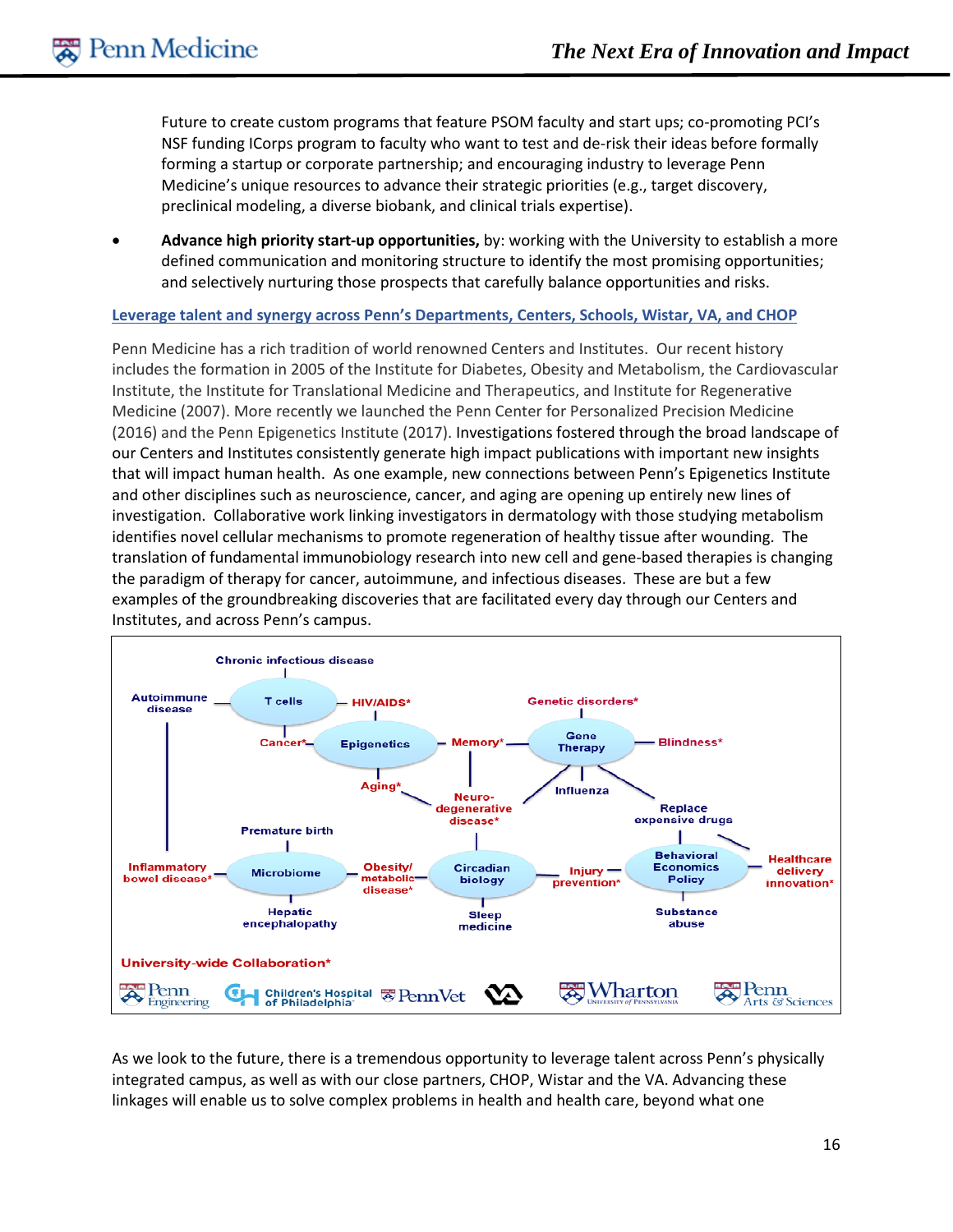Future to create custom programs that feature PSOM faculty and start ups; co-promoting PCI's NSF funding ICorps program to faculty who want to test and de-risk their ideas before formally forming a startup or corporate partnership; and encouraging industry to leverage Penn Medicine's unique resources to advance their strategic priorities (e.g., target discovery, preclinical modeling, a diverse biobank, and clinical trials expertise).

• **Advance high priority start-up opportunities,** by: working with the University to establish a more defined communication and monitoring structure to identify the most promising opportunities; and selectively nurturing those prospects that carefully balance opportunities and risks.

#### **Leverage talent and synergy across Penn's Departments, Centers, Schools, Wistar, VA, and CHOP**

Penn Medicine has a rich tradition of world renowned Centers and Institutes. Our recent history includes the formation in 2005 of the Institute for Diabetes, Obesity and Metabolism, the Cardiovascular Institute, the Institute for Translational Medicine and Therapeutics, and Institute for Regenerative Medicine (2007). More recently we launched the Penn Center for Personalized Precision Medicine (2016) and the Penn Epigenetics Institute (2017). Investigations fostered through the broad landscape of our Centers and Institutes consistently generate high impact publications with important new insights that will impact human health. As one example, new connections between Penn's Epigenetics Institute and other disciplines such as neuroscience, cancer, and aging are opening up entirely new lines of investigation. Collaborative work linking investigators in dermatology with those studying metabolism identifies novel cellular mechanisms to promote regeneration of healthy tissue after wounding. The translation of fundamental immunobiology research into new cell and gene-based therapies is changing the paradigm of therapy for cancer, autoimmune, and infectious diseases. These are but a few examples of the groundbreaking discoveries that are facilitated every day through our Centers and Institutes, and across Penn's campus.



As we look to the future, there is a tremendous opportunity to leverage talent across Penn's physically integrated campus, as well as with our close partners, CHOP, Wistar and the VA. Advancing these linkages will enable us to solve complex problems in health and health care, beyond what one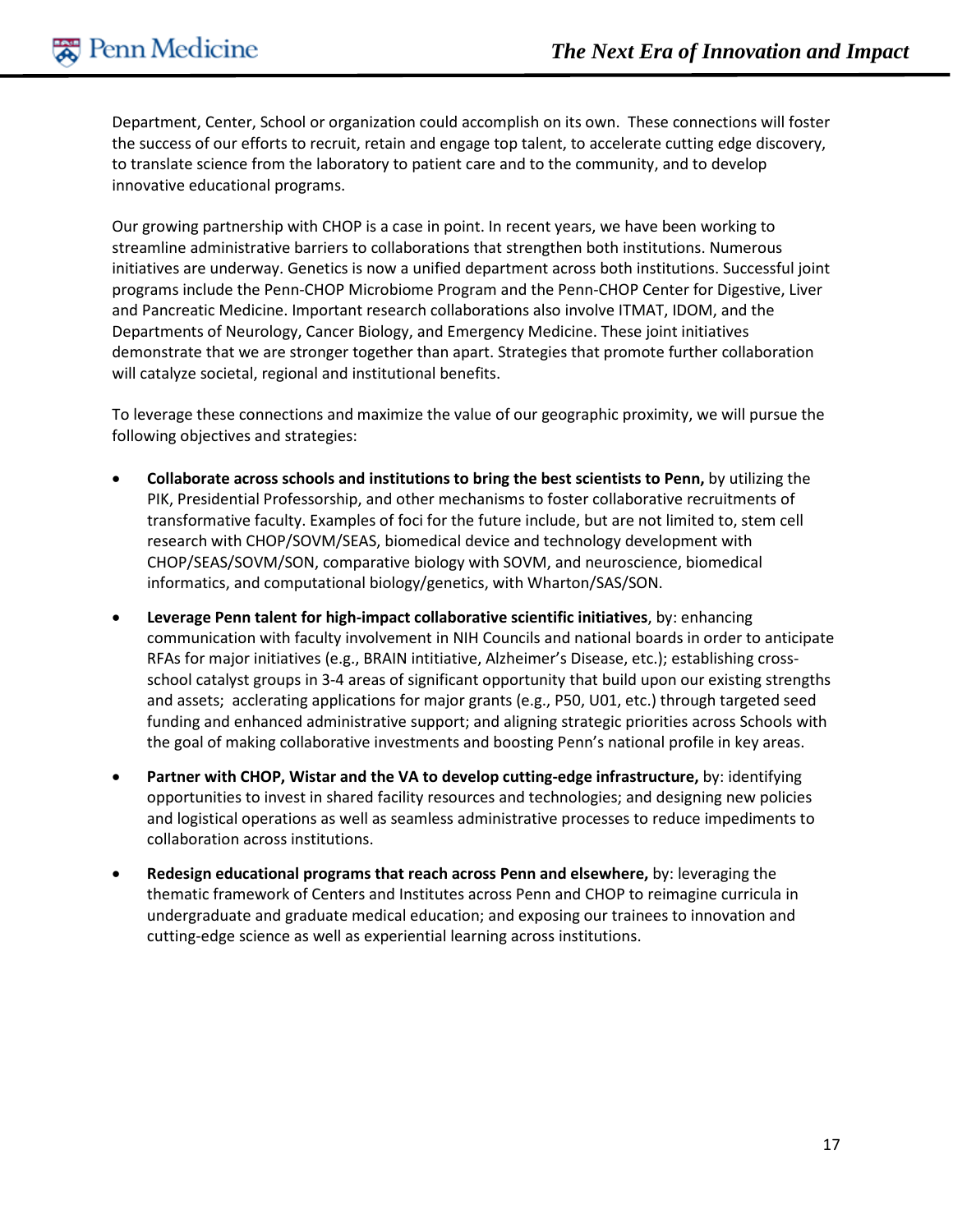Department, Center, School or organization could accomplish on its own. These connections will foster the success of our efforts to recruit, retain and engage top talent, to accelerate cutting edge discovery, to translate science from the laboratory to patient care and to the community, and to develop innovative educational programs.

Our growing partnership with CHOP is a case in point. In recent years, we have been working to streamline administrative barriers to collaborations that strengthen both institutions. Numerous initiatives are underway. Genetics is now a unified department across both institutions. Successful joint programs include the Penn-CHOP Microbiome Program and the Penn-CHOP Center for Digestive, Liver and Pancreatic Medicine. Important research collaborations also involve ITMAT, IDOM, and the Departments of Neurology, Cancer Biology, and Emergency Medicine. These joint initiatives demonstrate that we are stronger together than apart. Strategies that promote further collaboration will catalyze societal, regional and institutional benefits.

To leverage these connections and maximize the value of our geographic proximity, we will pursue the following objectives and strategies:

- **Collaborate across schools and institutions to bring the best scientists to Penn,** by utilizing the PIK, Presidential Professorship, and other mechanisms to foster collaborative recruitments of transformative faculty. Examples of foci for the future include, but are not limited to, stem cell research with CHOP/SOVM/SEAS, biomedical device and technology development with CHOP/SEAS/SOVM/SON, comparative biology with SOVM, and neuroscience, biomedical informatics, and computational biology/genetics, with Wharton/SAS/SON.
- **Leverage Penn talent for high-impact collaborative scientific initiatives**, by: enhancing communication with faculty involvement in NIH Councils and national boards in order to anticipate RFAs for major initiatives (e.g., BRAIN intitiative, Alzheimer's Disease, etc.); establishing crossschool catalyst groups in 3-4 areas of significant opportunity that build upon our existing strengths and assets; acclerating applications for major grants (e.g., P50, U01, etc.) through targeted seed funding and enhanced administrative support; and aligning strategic priorities across Schools with the goal of making collaborative investments and boosting Penn's national profile in key areas.
- **Partner with CHOP, Wistar and the VA to develop cutting-edge infrastructure,** by: identifying opportunities to invest in shared facility resources and technologies; and designing new policies and logistical operations as well as seamless administrative processes to reduce impediments to collaboration across institutions.
- **Redesign educational programs that reach across Penn and elsewhere,** by: leveraging the thematic framework of Centers and Institutes across Penn and CHOP to reimagine curricula in undergraduate and graduate medical education; and exposing our trainees to innovation and cutting-edge science as well as experiential learning across institutions.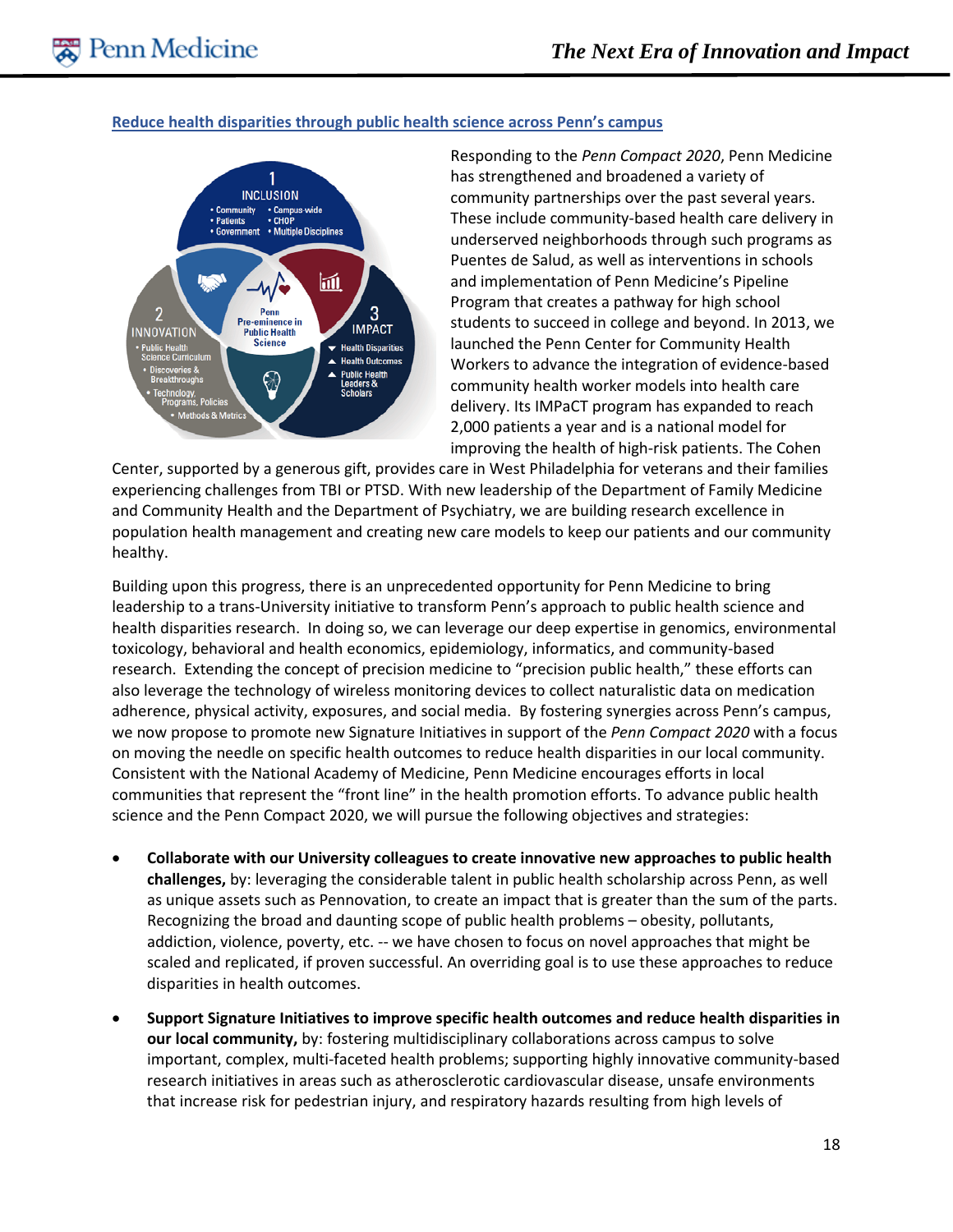#### **Reduce health disparities through public health science across Penn's campus**



Responding to the *Penn Compact 2020*, Penn Medicine has strengthened and broadened a variety of community partnerships over the past several years. These include community-based health care delivery in underserved neighborhoods through such programs as Puentes de Salud, as well as interventions in schools and implementation of Penn Medicine's Pipeline Program that creates a pathway for high school students to succeed in college and beyond. In 2013, we launched the Penn Center for Community Health Workers to advance the integration of evidence-based community health worker models into health care delivery. Its IMPaCT program has expanded to reach 2,000 patients a year and is a national model for improving the health of high-risk patients. The Cohen

Center, supported by a generous gift, provides care in West Philadelphia for veterans and their families experiencing challenges from TBI or PTSD. With new leadership of the Department of Family Medicine and Community Health and the Department of Psychiatry, we are building research excellence in population health management and creating new care models to keep our patients and our community healthy.

Building upon this progress, there is an unprecedented opportunity for Penn Medicine to bring leadership to a trans-University initiative to transform Penn's approach to public health science and health disparities research. In doing so, we can leverage our deep expertise in genomics, environmental toxicology, behavioral and health economics, epidemiology, informatics, and community-based research. Extending the concept of precision medicine to "precision public health," these efforts can also leverage the technology of wireless monitoring devices to collect naturalistic data on medication adherence, physical activity, exposures, and social media. By fostering synergies across Penn's campus, we now propose to promote new Signature Initiatives in support of the *Penn Compact 2020* with a focus on moving the needle on specific health outcomes to reduce health disparities in our local community. Consistent with the National Academy of Medicine, Penn Medicine encourages efforts in local communities that represent the "front line" in the health promotion efforts. To advance public health science and the Penn Compact 2020, we will pursue the following objectives and strategies:

- **Collaborate with our University colleagues to create innovative new approaches to public health challenges,** by: leveraging the considerable talent in public health scholarship across Penn, as well as unique assets such as Pennovation, to create an impact that is greater than the sum of the parts. Recognizing the broad and daunting scope of public health problems – obesity, pollutants, addiction, violence, poverty, etc. -- we have chosen to focus on novel approaches that might be scaled and replicated, if proven successful. An overriding goal is to use these approaches to reduce disparities in health outcomes.
- **Support Signature Initiatives to improve specific health outcomes and reduce health disparities in our local community,** by: fostering multidisciplinary collaborations across campus to solve important, complex, multi-faceted health problems; supporting highly innovative community-based research initiatives in areas such as atherosclerotic cardiovascular disease, unsafe environments that increase risk for pedestrian injury, and respiratory hazards resulting from high levels of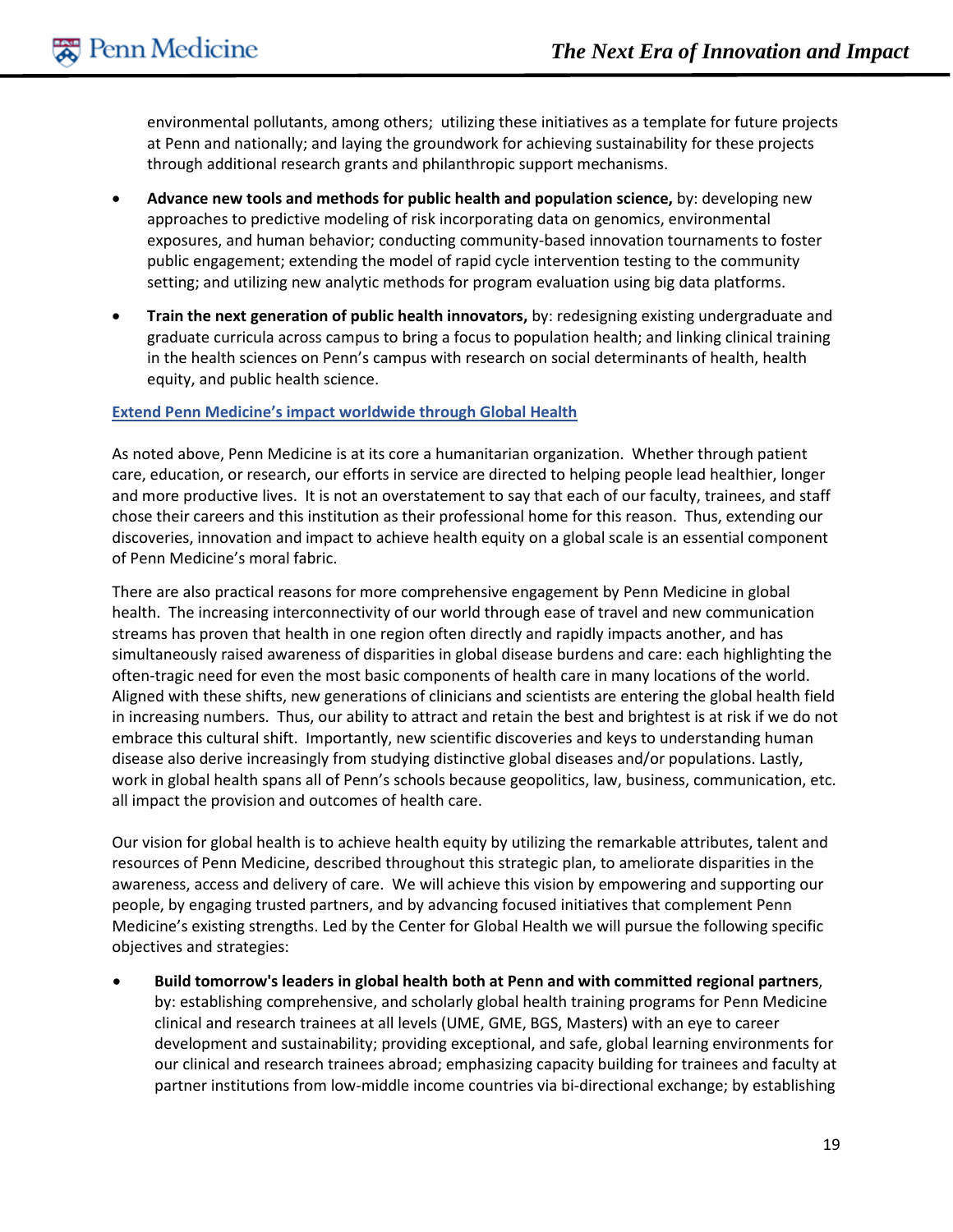environmental pollutants, among others; utilizing these initiatives as a template for future projects at Penn and nationally; and laying the groundwork for achieving sustainability for these projects through additional research grants and philanthropic support mechanisms.

- **Advance new tools and methods for public health and population science,** by: developing new approaches to predictive modeling of risk incorporating data on genomics, environmental exposures, and human behavior; conducting community-based innovation tournaments to foster public engagement; extending the model of rapid cycle intervention testing to the community setting; and utilizing new analytic methods for program evaluation using big data platforms.
- **Train the next generation of public health innovators,** by: redesigning existing undergraduate and graduate curricula across campus to bring a focus to population health; and linking clinical training in the health sciences on Penn's campus with research on social determinants of health, health equity, and public health science.

#### **Extend Penn Medicine's impact worldwide through Global Health**

As noted above, Penn Medicine is at its core a humanitarian organization. Whether through patient care, education, or research, our efforts in service are directed to helping people lead healthier, longer and more productive lives. It is not an overstatement to say that each of our faculty, trainees, and staff chose their careers and this institution as their professional home for this reason. Thus, extending our discoveries, innovation and impact to achieve health equity on a global scale is an essential component of Penn Medicine's moral fabric.

There are also practical reasons for more comprehensive engagement by Penn Medicine in global health. The increasing interconnectivity of our world through ease of travel and new communication streams has proven that health in one region often directly and rapidly impacts another, and has simultaneously raised awareness of disparities in global disease burdens and care: each highlighting the often-tragic need for even the most basic components of health care in many locations of the world. Aligned with these shifts, new generations of clinicians and scientists are entering the global health field in increasing numbers. Thus, our ability to attract and retain the best and brightest is at risk if we do not embrace this cultural shift. Importantly, new scientific discoveries and keys to understanding human disease also derive increasingly from studying distinctive global diseases and/or populations. Lastly, work in global health spans all of Penn's schools because geopolitics, law, business, communication, etc. all impact the provision and outcomes of health care.

Our vision for global health is to achieve health equity by utilizing the remarkable attributes, talent and resources of Penn Medicine, described throughout this strategic plan, to ameliorate disparities in the awareness, access and delivery of care. We will achieve this vision by empowering and supporting our people, by engaging trusted partners, and by advancing focused initiatives that complement Penn Medicine's existing strengths. Led by the Center for Global Health we will pursue the following specific objectives and strategies:

• **Build tomorrow's leaders in global health both at Penn and with committed regional partners**, by: establishing comprehensive, and scholarly global health training programs for Penn Medicine clinical and research trainees at all levels (UME, GME, BGS, Masters) with an eye to career development and sustainability; providing exceptional, and safe, global learning environments for our clinical and research trainees abroad; emphasizing capacity building for trainees and faculty at partner institutions from low-middle income countries via bi-directional exchange; by establishing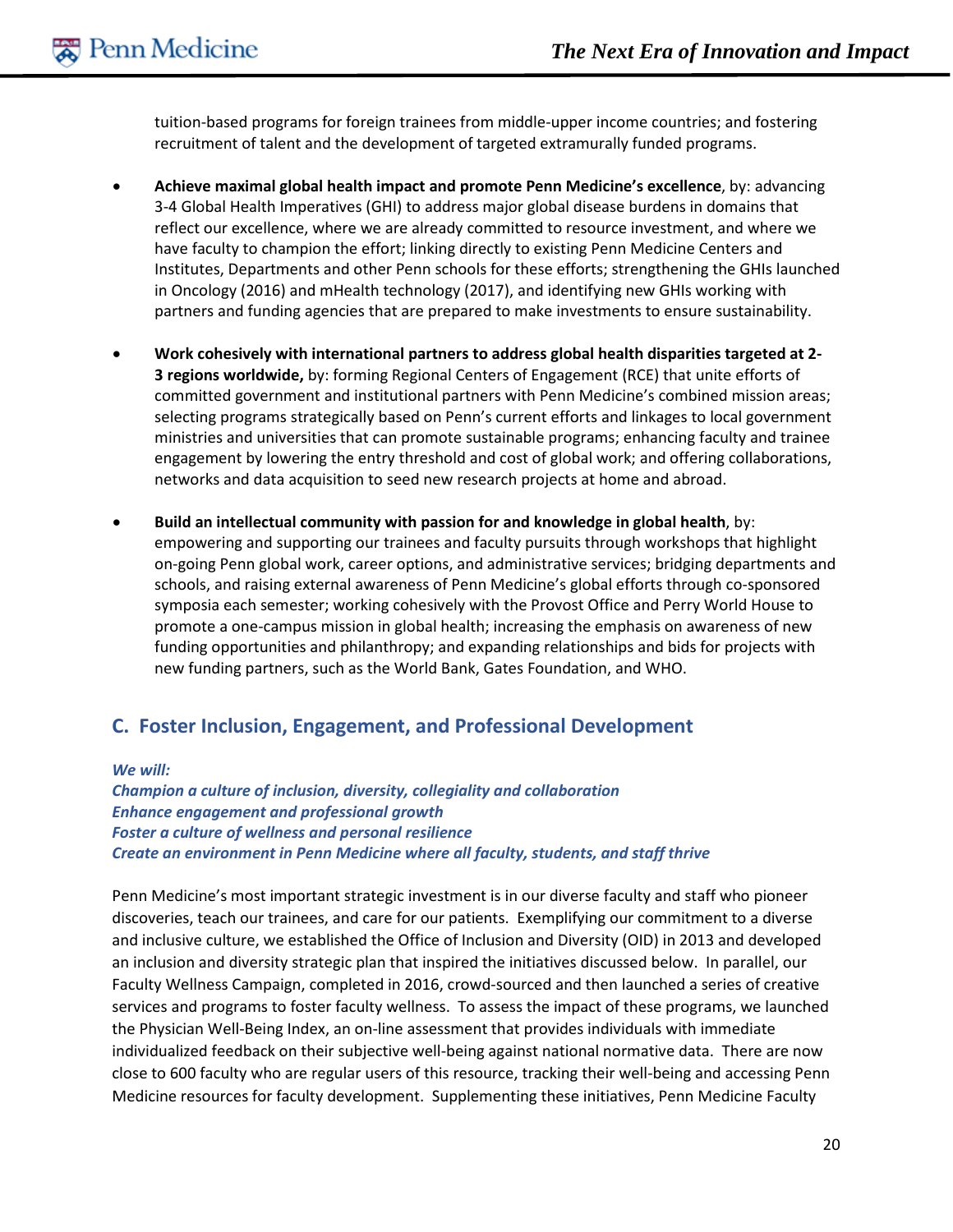tuition-based programs for foreign trainees from middle-upper income countries; and fostering recruitment of talent and the development of targeted extramurally funded programs.

- **Achieve maximal global health impact and promote Penn Medicine's excellence**, by: advancing 3-4 Global Health Imperatives (GHI) to address major global disease burdens in domains that reflect our excellence, where we are already committed to resource investment, and where we have faculty to champion the effort; linking directly to existing Penn Medicine Centers and Institutes, Departments and other Penn schools for these efforts; strengthening the GHIs launched in Oncology (2016) and mHealth technology (2017), and identifying new GHIs working with partners and funding agencies that are prepared to make investments to ensure sustainability.
- **Work cohesively with international partners to address global health disparities targeted at 2- 3 regions worldwide,** by: forming Regional Centers of Engagement (RCE) that unite efforts of committed government and institutional partners with Penn Medicine's combined mission areas; selecting programs strategically based on Penn's current efforts and linkages to local government ministries and universities that can promote sustainable programs; enhancing faculty and trainee engagement by lowering the entry threshold and cost of global work; and offering collaborations, networks and data acquisition to seed new research projects at home and abroad.
- **Build an intellectual community with passion for and knowledge in global health**, by: empowering and supporting our trainees and faculty pursuits through workshops that highlight on-going Penn global work, career options, and administrative services; bridging departments and schools, and raising external awareness of Penn Medicine's global efforts through co-sponsored symposia each semester; working cohesively with the Provost Office and Perry World House to promote a one-campus mission in global health; increasing the emphasis on awareness of new funding opportunities and philanthropy; and expanding relationships and bids for projects with new funding partners, such as the World Bank, Gates Foundation, and WHO.

# **C. Foster Inclusion, Engagement, and Professional Development**

*We will: Champion a culture of inclusion, diversity, collegiality and collaboration Enhance engagement and professional growth Foster a culture of wellness and personal resilience Create an environment in Penn Medicine where all faculty, students, and staff thrive*

Penn Medicine's most important strategic investment is in our diverse faculty and staff who pioneer discoveries, teach our trainees, and care for our patients. Exemplifying our commitment to a diverse and inclusive culture, we established the Office of Inclusion and Diversity (OID) in 2013 and developed an inclusion and diversity strategic plan that inspired the initiatives discussed below. In parallel, our Faculty Wellness Campaign, completed in 2016, crowd-sourced and then launched a series of creative services and programs to foster faculty wellness. To assess the impact of these programs, we launched the Physician Well-Being Index, an on-line assessment that provides individuals with immediate individualized feedback on their subjective well-being against national normative data. There are now close to 600 faculty who are regular users of this resource, tracking their well-being and accessing Penn Medicine resources for faculty development. Supplementing these initiatives, Penn Medicine Faculty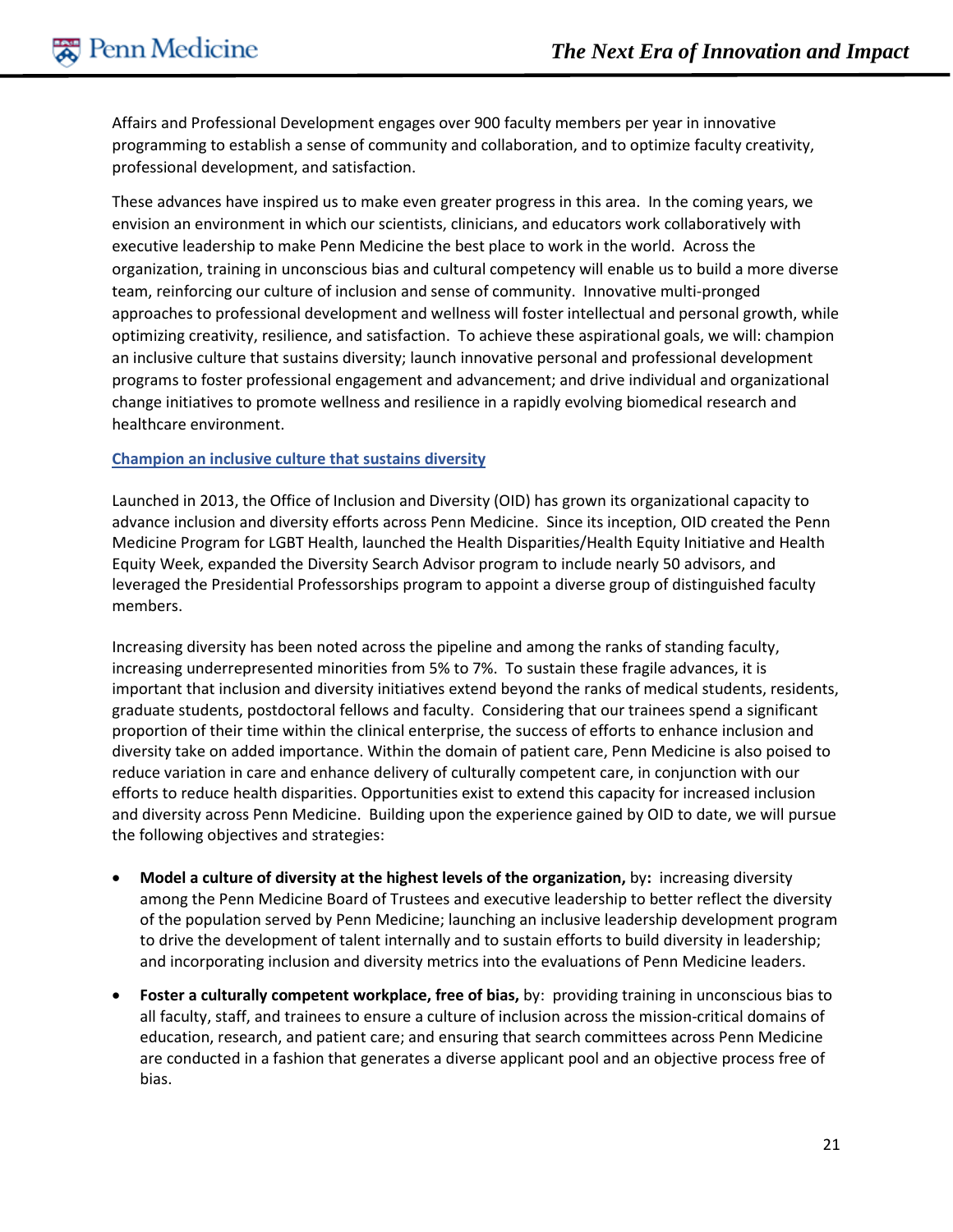Affairs and Professional Development engages over 900 faculty members per year in innovative programming to establish a sense of community and collaboration, and to optimize faculty creativity, professional development, and satisfaction.

These advances have inspired us to make even greater progress in this area. In the coming years, we envision an environment in which our scientists, clinicians, and educators work collaboratively with executive leadership to make Penn Medicine the best place to work in the world. Across the organization, training in unconscious bias and cultural competency will enable us to build a more diverse team, reinforcing our culture of inclusion and sense of community. Innovative multi-pronged approaches to professional development and wellness will foster intellectual and personal growth, while optimizing creativity, resilience, and satisfaction. To achieve these aspirational goals, we will: champion an inclusive culture that sustains diversity; launch innovative personal and professional development programs to foster professional engagement and advancement; and drive individual and organizational change initiatives to promote wellness and resilience in a rapidly evolving biomedical research and healthcare environment.

#### **Champion an inclusive culture that sustains diversity**

Launched in 2013, the Office of Inclusion and Diversity (OID) has grown its organizational capacity to advance inclusion and diversity efforts across Penn Medicine. Since its inception, OID created the Penn Medicine Program for LGBT Health, launched the Health Disparities/Health Equity Initiative and Health Equity Week, expanded the Diversity Search Advisor program to include nearly 50 advisors, and leveraged the Presidential Professorships program to appoint a diverse group of distinguished faculty members.

Increasing diversity has been noted across the pipeline and among the ranks of standing faculty, increasing underrepresented minorities from 5% to 7%. To sustain these fragile advances, it is important that inclusion and diversity initiatives extend beyond the ranks of medical students, residents, graduate students, postdoctoral fellows and faculty. Considering that our trainees spend a significant proportion of their time within the clinical enterprise, the success of efforts to enhance inclusion and diversity take on added importance. Within the domain of patient care, Penn Medicine is also poised to reduce variation in care and enhance delivery of culturally competent care, in conjunction with our efforts to reduce health disparities. Opportunities exist to extend this capacity for increased inclusion and diversity across Penn Medicine. Building upon the experience gained by OID to date, we will pursue the following objectives and strategies:

- **Model a culture of diversity at the highest levels of the organization,** by**:** increasing diversity among the Penn Medicine Board of Trustees and executive leadership to better reflect the diversity of the population served by Penn Medicine; launching an inclusive leadership development program to drive the development of talent internally and to sustain efforts to build diversity in leadership; and incorporating inclusion and diversity metrics into the evaluations of Penn Medicine leaders.
- **Foster a culturally competent workplace, free of bias,** by: providing training in unconscious bias to all faculty, staff, and trainees to ensure a culture of inclusion across the mission-critical domains of education, research, and patient care; and ensuring that search committees across Penn Medicine are conducted in a fashion that generates a diverse applicant pool and an objective process free of bias.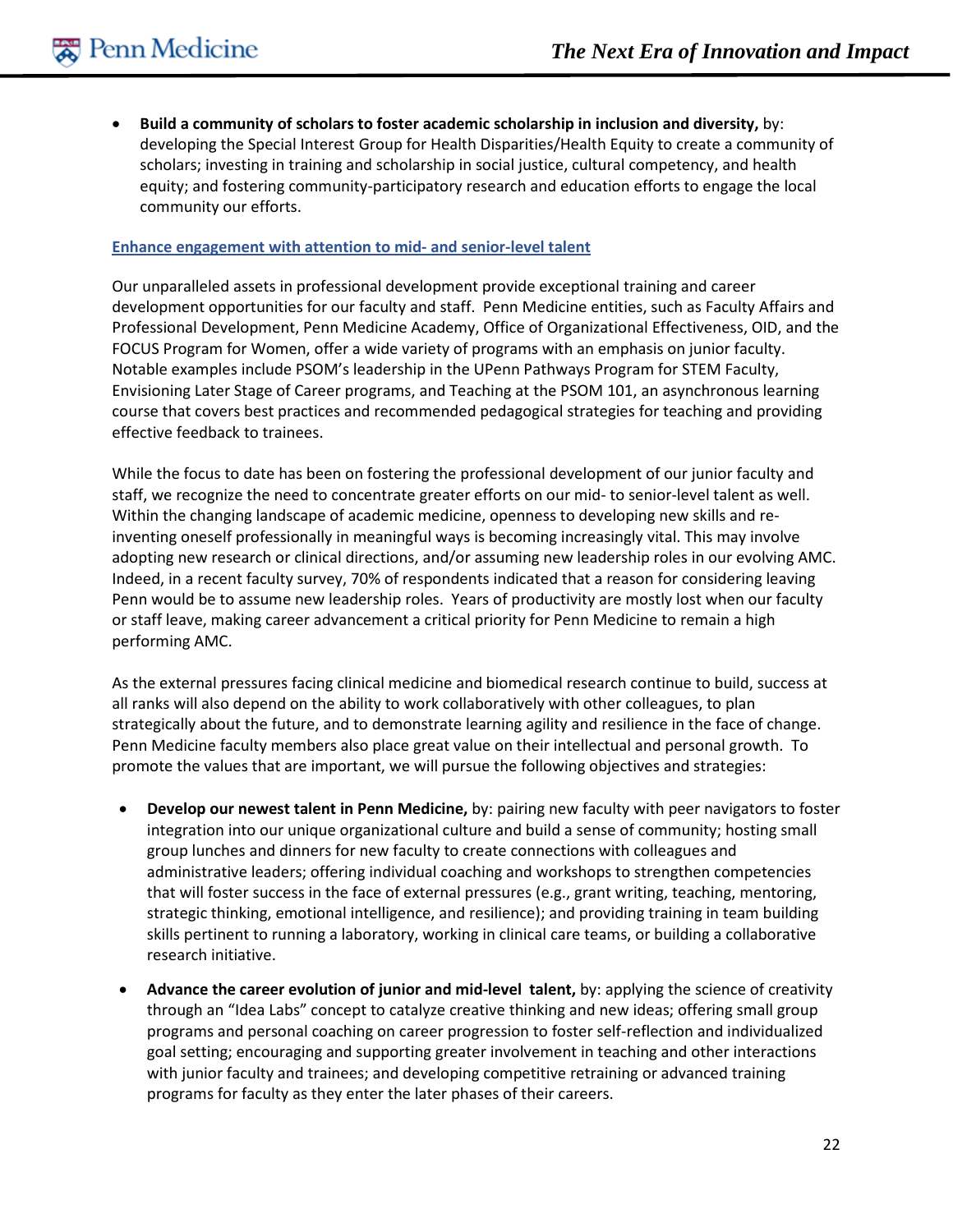• **Build a community of scholars to foster academic scholarship in inclusion and diversity,** by: developing the Special Interest Group for Health Disparities/Health Equity to create a community of scholars; investing in training and scholarship in social justice, cultural competency, and health equity; and fostering community-participatory research and education efforts to engage the local community our efforts.

#### **Enhance engagement with attention to mid- and senior-level talent**

Our unparalleled assets in professional development provide exceptional training and career development opportunities for our faculty and staff. Penn Medicine entities, such as Faculty Affairs and Professional Development, Penn Medicine Academy, Office of Organizational Effectiveness, OID, and the FOCUS Program for Women, offer a wide variety of programs with an emphasis on junior faculty. Notable examples include PSOM's leadership in the UPenn Pathways Program for STEM Faculty, Envisioning Later Stage of Career programs, and Teaching at the PSOM 101, an asynchronous learning course that covers best practices and recommended pedagogical strategies for teaching and providing effective feedback to trainees.

While the focus to date has been on fostering the professional development of our junior faculty and staff, we recognize the need to concentrate greater efforts on our mid- to senior-level talent as well. Within the changing landscape of academic medicine, openness to developing new skills and reinventing oneself professionally in meaningful ways is becoming increasingly vital. This may involve adopting new research or clinical directions, and/or assuming new leadership roles in our evolving AMC. Indeed, in a recent faculty survey, 70% of respondents indicated that a reason for considering leaving Penn would be to assume new leadership roles. Years of productivity are mostly lost when our faculty or staff leave, making career advancement a critical priority for Penn Medicine to remain a high performing AMC.

As the external pressures facing clinical medicine and biomedical research continue to build, success at all ranks will also depend on the ability to work collaboratively with other colleagues, to plan strategically about the future, and to demonstrate learning agility and resilience in the face of change. Penn Medicine faculty members also place great value on their intellectual and personal growth. To promote the values that are important, we will pursue the following objectives and strategies:

- **Develop our newest talent in Penn Medicine,** by: pairing new faculty with peer navigators to foster integration into our unique organizational culture and build a sense of community; hosting small group lunches and dinners for new faculty to create connections with colleagues and administrative leaders; offering individual coaching and workshops to strengthen competencies that will foster success in the face of external pressures (e.g., grant writing, teaching, mentoring, strategic thinking, emotional intelligence, and resilience); and providing training in team building skills pertinent to running a laboratory, working in clinical care teams, or building a collaborative research initiative.
- **Advance the career evolution of junior and mid-level talent,** by: applying the science of creativity through an "Idea Labs" concept to catalyze creative thinking and new ideas; offering small group programs and personal coaching on career progression to foster self-reflection and individualized goal setting; encouraging and supporting greater involvement in teaching and other interactions with junior faculty and trainees; and developing competitive retraining or advanced training programs for faculty as they enter the later phases of their careers.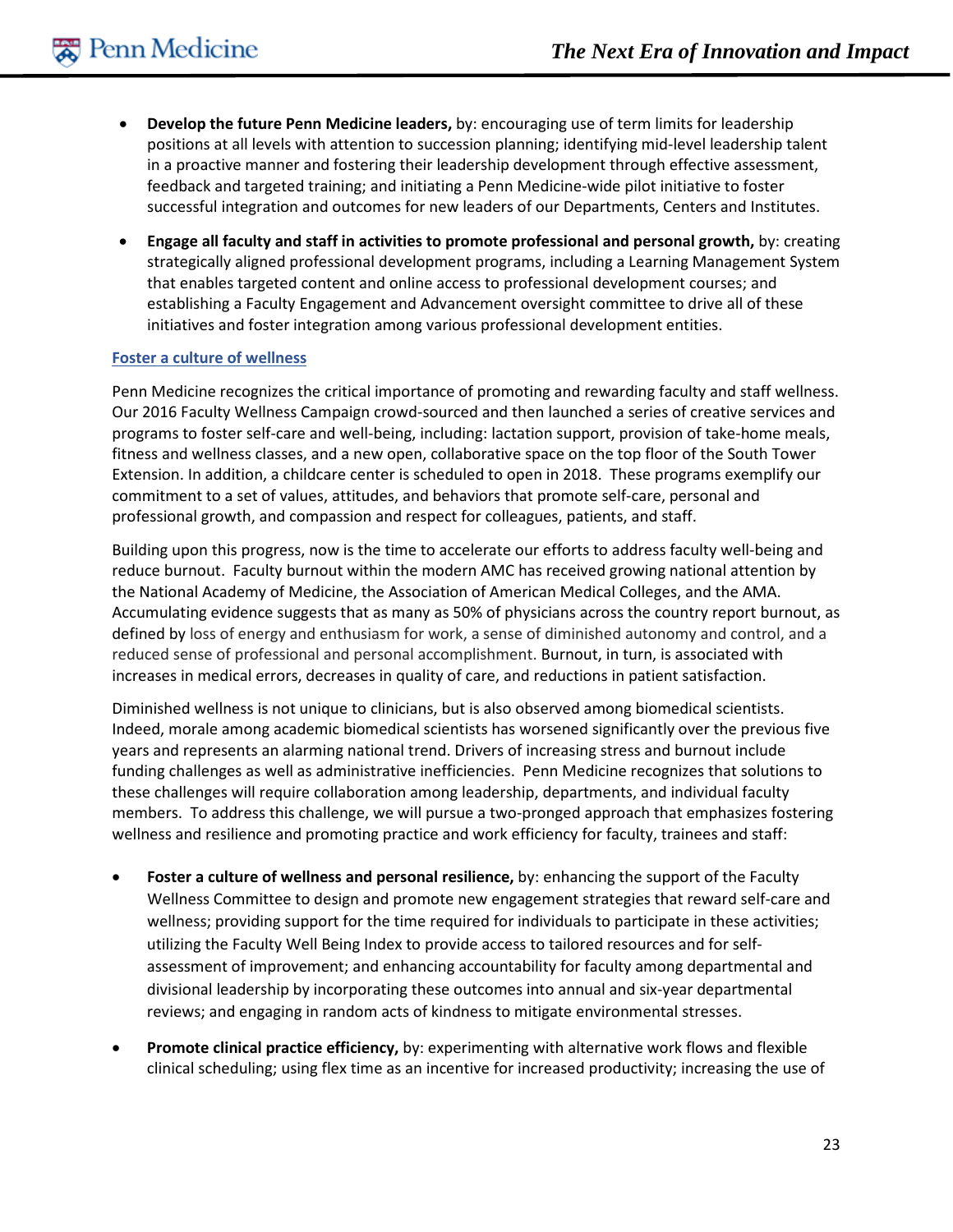- **Develop the future Penn Medicine leaders,** by: encouraging use of term limits for leadership positions at all levels with attention to succession planning; identifying mid-level leadership talent in a proactive manner and fostering their leadership development through effective assessment, feedback and targeted training; and initiating a Penn Medicine-wide pilot initiative to foster successful integration and outcomes for new leaders of our Departments, Centers and Institutes.
- **Engage all faculty and staff in activities to promote professional and personal growth,** by: creating strategically aligned professional development programs, including a Learning Management System that enables targeted content and online access to professional development courses; and establishing a Faculty Engagement and Advancement oversight committee to drive all of these initiatives and foster integration among various professional development entities.

#### **Foster a culture of wellness**

Penn Medicine recognizes the critical importance of promoting and rewarding faculty and staff wellness. Our 2016 Faculty Wellness Campaign crowd-sourced and then launched a series of creative services and programs to foster self-care and well-being, including: lactation support, provision of take-home meals, fitness and wellness classes, and a new open, collaborative space on the top floor of the South Tower Extension. In addition, a childcare center is scheduled to open in 2018. These programs exemplify our commitment to a set of values, attitudes, and behaviors that promote self-care, personal and professional growth, and compassion and respect for colleagues, patients, and staff.

Building upon this progress, now is the time to accelerate our efforts to address faculty well-being and reduce burnout. Faculty burnout within the modern AMC has received growing national attention by the National Academy of Medicine, the Association of American Medical Colleges, and the AMA. Accumulating evidence suggests that as many as 50% of physicians across the country report burnout, as defined by loss of energy and enthusiasm for work, a sense of diminished autonomy and control, and a reduced sense of professional and personal accomplishment. Burnout, in turn, is associated with increases in medical errors, decreases in quality of care, and reductions in patient satisfaction.

Diminished wellness is not unique to clinicians, but is also observed among biomedical scientists. Indeed, morale among academic biomedical scientists has worsened significantly over the previous five years and represents an alarming national trend. Drivers of increasing stress and burnout include funding challenges as well as administrative inefficiencies. Penn Medicine recognizes that solutions to these challenges will require collaboration among leadership, departments, and individual faculty members. To address this challenge, we will pursue a two-pronged approach that emphasizes fostering wellness and resilience and promoting practice and work efficiency for faculty, trainees and staff:

- **Foster a culture of wellness and personal resilience,** by: enhancing the support of the Faculty Wellness Committee to design and promote new engagement strategies that reward self-care and wellness; providing support for the time required for individuals to participate in these activities; utilizing the Faculty Well Being Index to provide access to tailored resources and for selfassessment of improvement; and enhancing accountability for faculty among departmental and divisional leadership by incorporating these outcomes into annual and six-year departmental reviews; and engaging in random acts of kindness to mitigate environmental stresses.
- **Promote clinical practice efficiency,** by: experimenting with alternative work flows and flexible clinical scheduling; using flex time as an incentive for increased productivity; increasing the use of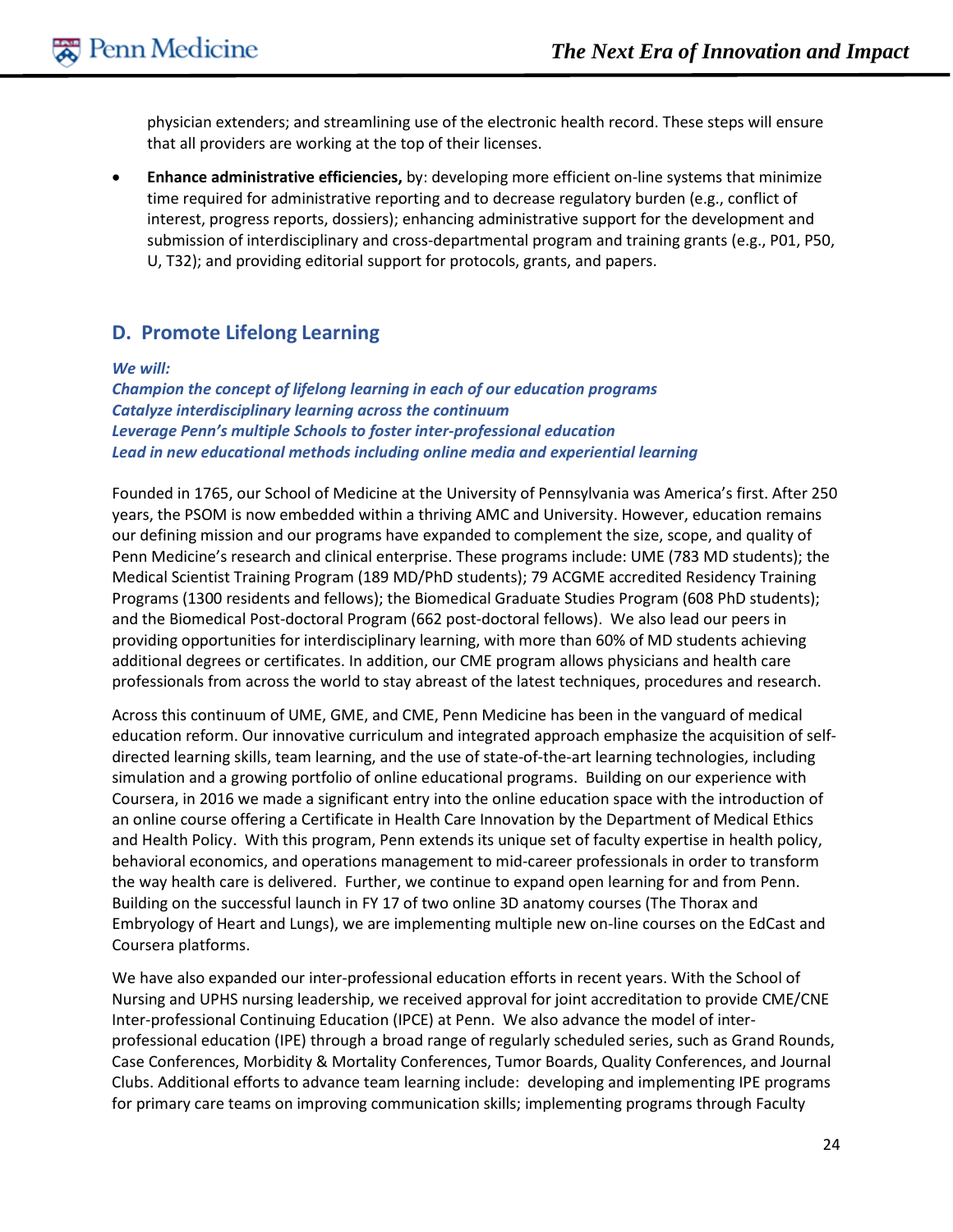physician extenders; and streamlining use of the electronic health record. These steps will ensure that all providers are working at the top of their licenses.

• **Enhance administrative efficiencies,** by: developing more efficient on-line systems that minimize time required for administrative reporting and to decrease regulatory burden (e.g., conflict of interest, progress reports, dossiers); enhancing administrative support for the development and submission of interdisciplinary and cross-departmental program and training grants (e.g., P01, P50, U, T32); and providing editorial support for protocols, grants, and papers.

# **D. Promote Lifelong Learning**

#### *We will:*

*Champion the concept of lifelong learning in each of our education programs Catalyze interdisciplinary learning across the continuum Leverage Penn's multiple Schools to foster inter-professional education Lead in new educational methods including online media and experiential learning*

Founded in 1765, our School of Medicine at the University of Pennsylvania was America's first. After 250 years, the PSOM is now embedded within a thriving AMC and University. However, education remains our defining mission and our programs have expanded to complement the size, scope, and quality of Penn Medicine's research and clinical enterprise. These programs include: UME (783 MD students); the Medical Scientist Training Program (189 MD/PhD students); 79 ACGME accredited Residency Training Programs (1300 residents and fellows); the Biomedical Graduate Studies Program (608 PhD students); and the Biomedical Post-doctoral Program (662 post-doctoral fellows). We also lead our peers in providing opportunities for interdisciplinary learning, with more than 60% of MD students achieving additional degrees or certificates. In addition, our CME program allows physicians and health care professionals from across the world to stay abreast of the latest techniques, procedures and research.

Across this continuum of UME, GME, and CME, Penn Medicine has been in the vanguard of medical education reform. Our innovative curriculum and integrated approach emphasize the acquisition of selfdirected learning skills, team learning, and the use of state-of-the-art learning technologies, including simulation and a growing portfolio of online educational programs. Building on our experience with Coursera, in 2016 we made a significant entry into the online education space with the introduction of an online course offering a Certificate in Health Care Innovation by the Department of Medical Ethics and Health Policy. With this program, Penn extends its unique set of faculty expertise in health policy, behavioral economics, and operations management to mid-career professionals in order to transform the way health care is delivered. Further, we continue to expand open learning for and from Penn. Building on the successful launch in FY 17 of two online 3D anatomy courses (The Thorax and Embryology of Heart and Lungs), we are implementing multiple new on-line courses on the EdCast and Coursera platforms.

We have also expanded our inter-professional education efforts in recent years. With the School of Nursing and UPHS nursing leadership, we received approval for joint accreditation to provide CME/CNE Inter-professional Continuing Education (IPCE) at Penn. We also advance the model of interprofessional education (IPE) through a broad range of regularly scheduled series, such as Grand Rounds, Case Conferences, Morbidity & Mortality Conferences, Tumor Boards, Quality Conferences, and Journal Clubs. Additional efforts to advance team learning include: developing and implementing IPE programs for primary care teams on improving communication skills; implementing programs through Faculty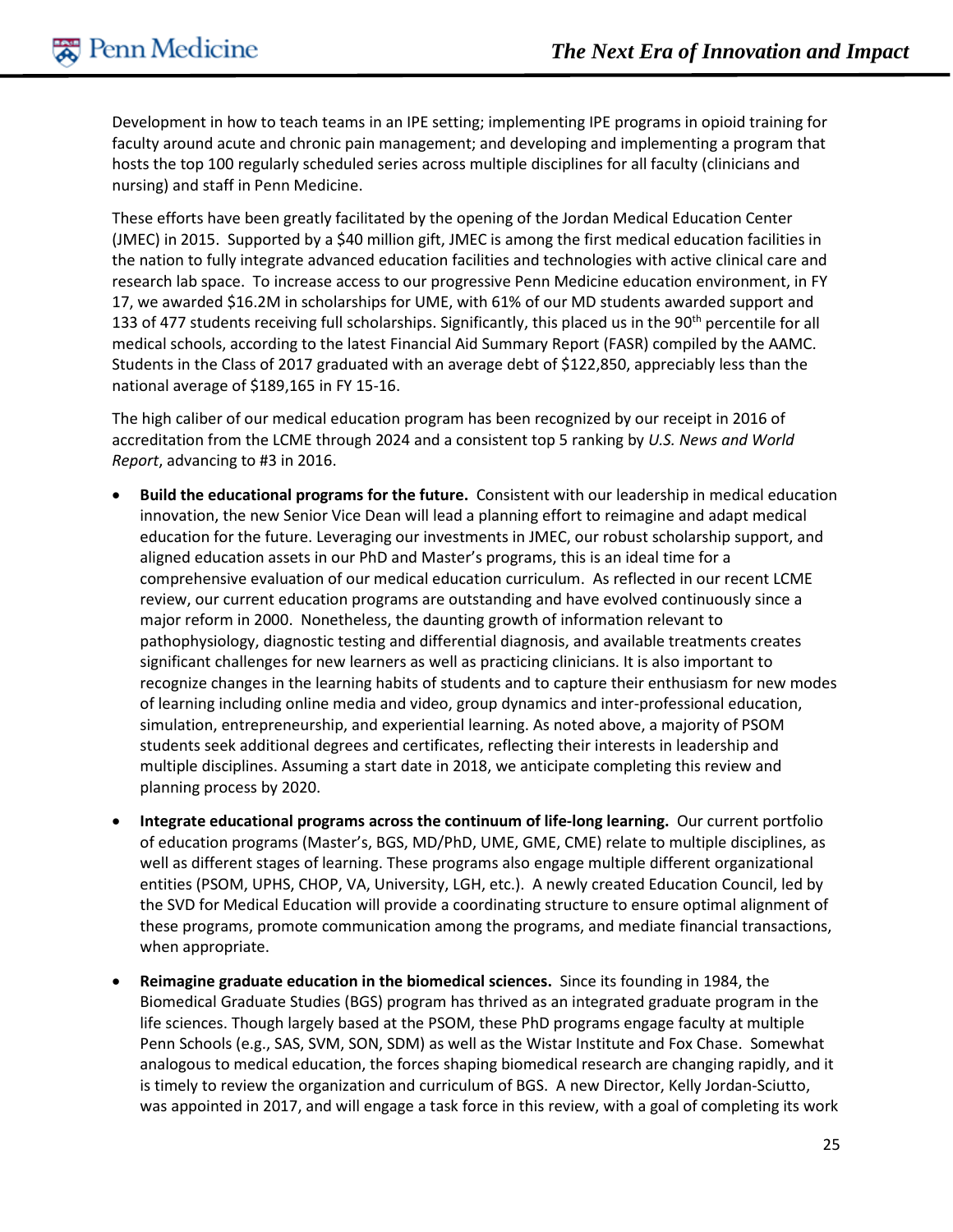Development in how to teach teams in an IPE setting; implementing IPE programs in opioid training for faculty around acute and chronic pain management; and developing and implementing a program that hosts the top 100 regularly scheduled series across multiple disciplines for all faculty (clinicians and nursing) and staff in Penn Medicine.

These efforts have been greatly facilitated by the opening of the Jordan Medical Education Center (JMEC) in 2015. Supported by a \$40 million gift, JMEC is among the first medical education facilities in the nation to fully integrate advanced education facilities and technologies with active clinical care and research lab space. To increase access to our progressive Penn Medicine education environment, in FY 17, we awarded \$16.2M in scholarships for UME, with 61% of our MD students awarded support and 133 of 477 students receiving full scholarships. Significantly, this placed us in the 90<sup>th</sup> percentile for all medical schools, according to the latest Financial Aid Summary Report (FASR) compiled by the AAMC. Students in the Class of 2017 graduated with an average debt of \$122,850, appreciably less than the national average of \$189,165 in FY 15-16.

The high caliber of our medical education program has been recognized by our receipt in 2016 of accreditation from the LCME through 2024 and a consistent top 5 ranking by *U.S. News and World Report*, advancing to #3 in 2016.

- **Build the educational programs for the future.** Consistent with our leadership in medical education innovation, the new Senior Vice Dean will lead a planning effort to reimagine and adapt medical education for the future. Leveraging our investments in JMEC, our robust scholarship support, and aligned education assets in our PhD and Master's programs, this is an ideal time for a comprehensive evaluation of our medical education curriculum. As reflected in our recent LCME review, our current education programs are outstanding and have evolved continuously since a major reform in 2000. Nonetheless, the daunting growth of information relevant to pathophysiology, diagnostic testing and differential diagnosis, and available treatments creates significant challenges for new learners as well as practicing clinicians. It is also important to recognize changes in the learning habits of students and to capture their enthusiasm for new modes of learning including online media and video, group dynamics and inter-professional education, simulation, entrepreneurship, and experiential learning. As noted above, a majority of PSOM students seek additional degrees and certificates, reflecting their interests in leadership and multiple disciplines. Assuming a start date in 2018, we anticipate completing this review and planning process by 2020.
- **Integrate educational programs across the continuum of life-long learning.** Our current portfolio of education programs (Master's, BGS, MD/PhD, UME, GME, CME) relate to multiple disciplines, as well as different stages of learning. These programs also engage multiple different organizational entities (PSOM, UPHS, CHOP, VA, University, LGH, etc.). A newly created Education Council, led by the SVD for Medical Education will provide a coordinating structure to ensure optimal alignment of these programs, promote communication among the programs, and mediate financial transactions, when appropriate.
- **Reimagine graduate education in the biomedical sciences.** Since its founding in 1984, the Biomedical Graduate Studies (BGS) program has thrived as an integrated graduate program in the life sciences. Though largely based at the PSOM, these PhD programs engage faculty at multiple Penn Schools (e.g., SAS, SVM, SON, SDM) as well as the Wistar Institute and Fox Chase. Somewhat analogous to medical education, the forces shaping biomedical research are changing rapidly, and it is timely to review the organization and curriculum of BGS. A new Director, Kelly Jordan-Sciutto, was appointed in 2017, and will engage a task force in this review, with a goal of completing its work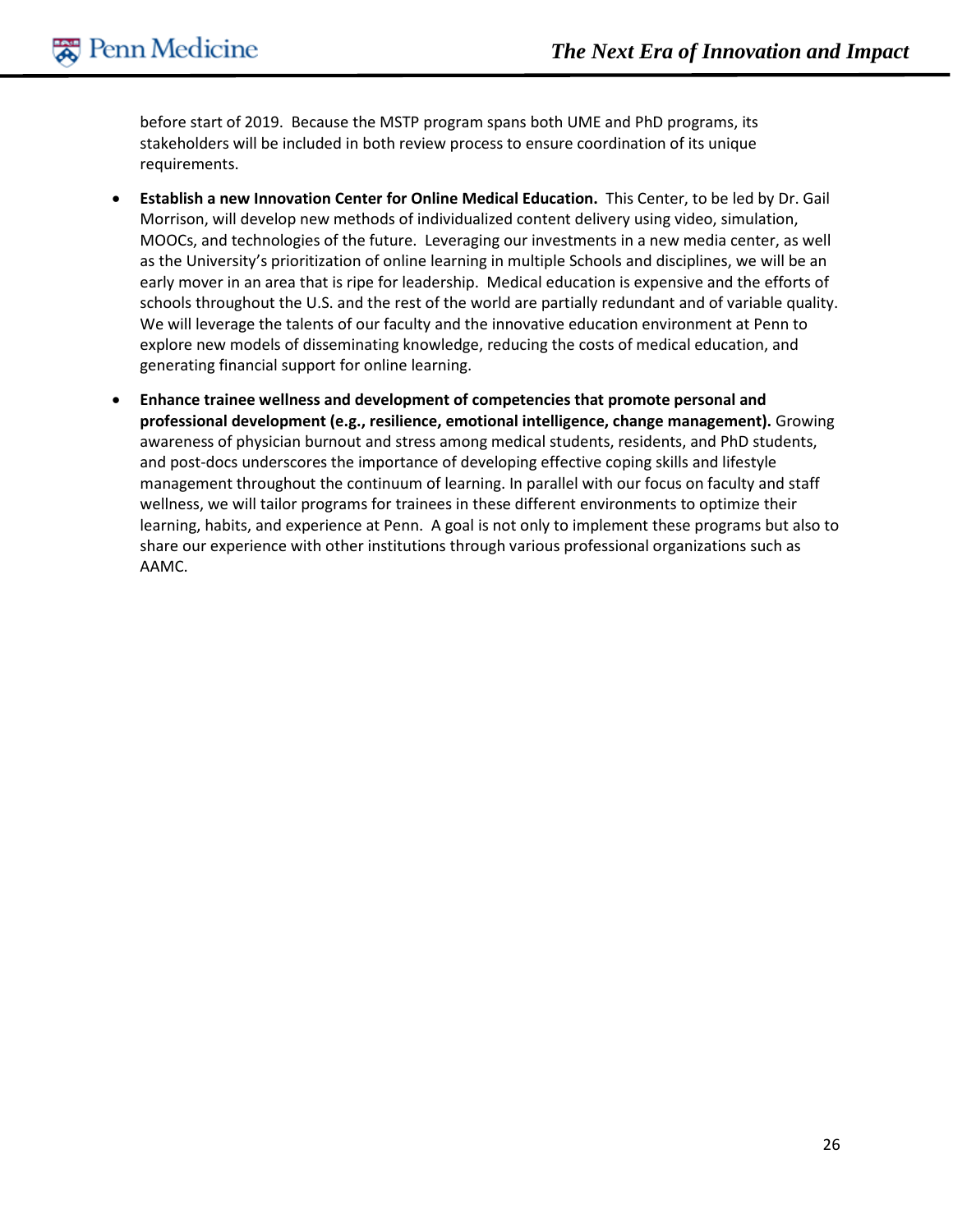before start of 2019. Because the MSTP program spans both UME and PhD programs, its stakeholders will be included in both review process to ensure coordination of its unique requirements.

- **Establish a new Innovation Center for Online Medical Education.** This Center, to be led by Dr. Gail Morrison, will develop new methods of individualized content delivery using video, simulation, MOOCs, and technologies of the future. Leveraging our investments in a new media center, as well as the University's prioritization of online learning in multiple Schools and disciplines, we will be an early mover in an area that is ripe for leadership. Medical education is expensive and the efforts of schools throughout the U.S. and the rest of the world are partially redundant and of variable quality. We will leverage the talents of our faculty and the innovative education environment at Penn to explore new models of disseminating knowledge, reducing the costs of medical education, and generating financial support for online learning.
- **Enhance trainee wellness and development of competencies that promote personal and professional development (e.g., resilience, emotional intelligence, change management).** Growing awareness of physician burnout and stress among medical students, residents, and PhD students, and post-docs underscores the importance of developing effective coping skills and lifestyle management throughout the continuum of learning. In parallel with our focus on faculty and staff wellness, we will tailor programs for trainees in these different environments to optimize their learning, habits, and experience at Penn. A goal is not only to implement these programs but also to share our experience with other institutions through various professional organizations such as AAMC.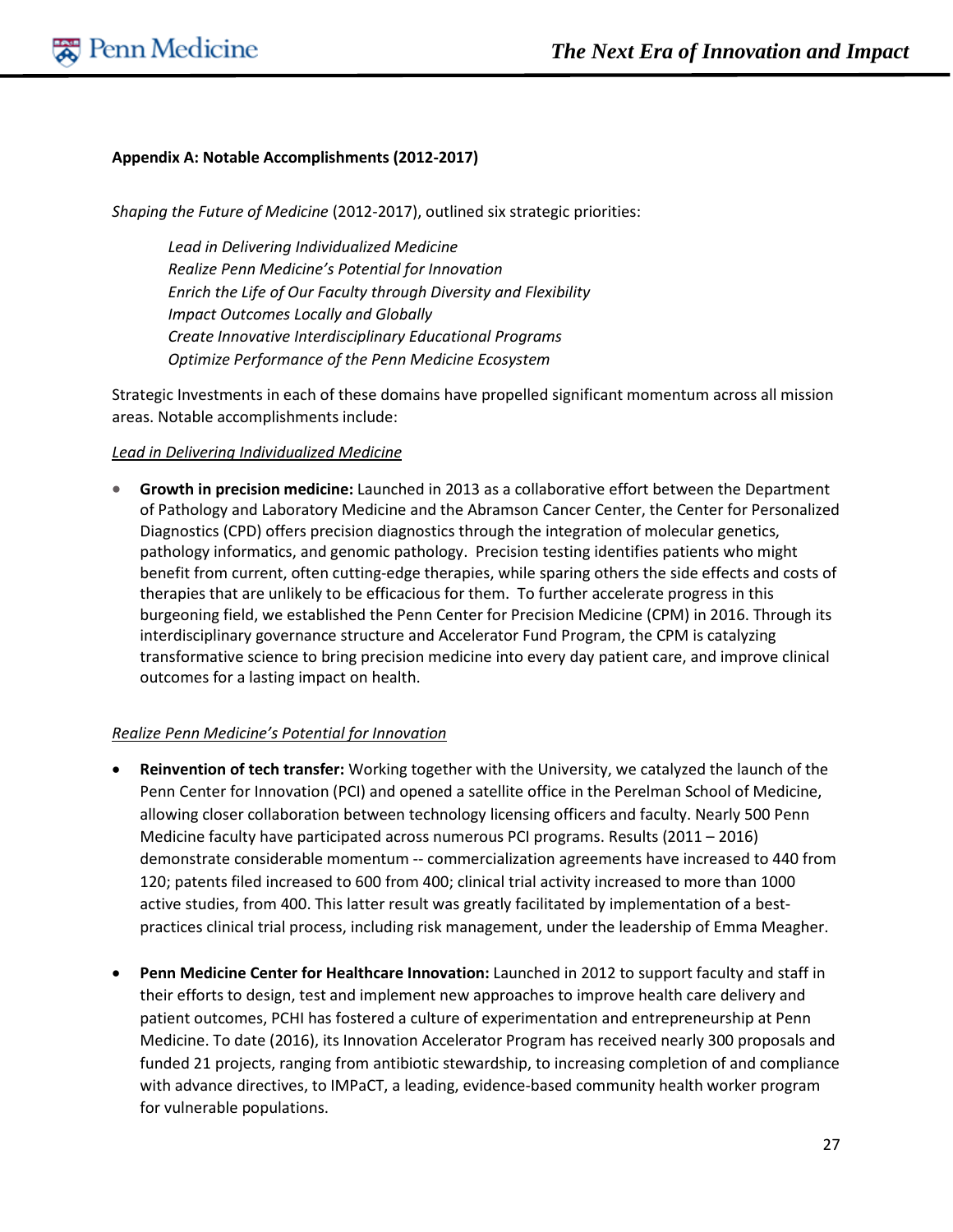#### **Appendix A: Notable Accomplishments (2012-2017)**

*Shaping the Future of Medicine* (2012-2017), outlined six strategic priorities:

*Lead in Delivering Individualized Medicine Realize Penn Medicine's Potential for Innovation Enrich the Life of Our Faculty through Diversity and Flexibility Impact Outcomes Locally and Globally Create Innovative Interdisciplinary Educational Programs Optimize Performance of the Penn Medicine Ecosystem*

Strategic Investments in each of these domains have propelled significant momentum across all mission areas. Notable accomplishments include:

#### *Lead in Delivering Individualized Medicine*

• **Growth in precision medicine:** Launched in 2013 as a collaborative effort between the Department of Pathology and Laboratory Medicine and the Abramson Cancer Center, the Center for Personalized Diagnostics (CPD) offers precision diagnostics through the integration of molecular genetics, pathology informatics, and genomic pathology. Precision testing identifies patients who might benefit from current, often cutting-edge therapies, while sparing others the side effects and costs of therapies that are unlikely to be efficacious for them. To further accelerate progress in this burgeoning field, we established the Penn Center for Precision Medicine (CPM) in 2016. Through its interdisciplinary governance structure and Accelerator Fund Program, the CPM is catalyzing transformative science to bring precision medicine into every day patient care, and improve clinical outcomes for a lasting impact on health.

#### *Realize Penn Medicine's Potential for Innovation*

- **Reinvention of tech transfer:** Working together with the University, we catalyzed the launch of the Penn Center for Innovation (PCI) and opened a satellite office in the Perelman School of Medicine, allowing closer collaboration between technology licensing officers and faculty. Nearly 500 Penn Medicine faculty have participated across numerous PCI programs. Results (2011 – 2016) demonstrate considerable momentum -- commercialization agreements have increased to 440 from 120; patents filed increased to 600 from 400; clinical trial activity increased to more than 1000 active studies, from 400. This latter result was greatly facilitated by implementation of a bestpractices clinical trial process, including risk management, under the leadership of Emma Meagher.
- **Penn Medicine Center for Healthcare Innovation:** Launched in 2012 to support faculty and staff in their efforts to design, test and implement new approaches to improve health care delivery and patient outcomes, PCHI has fostered a culture of experimentation and entrepreneurship at Penn Medicine. To date (2016), its Innovation Accelerator Program has received nearly 300 proposals and funded 21 projects, ranging from antibiotic stewardship, to increasing completion of and compliance with advance directives, to IMPaCT, a leading, evidence-based community health worker program for vulnerable populations.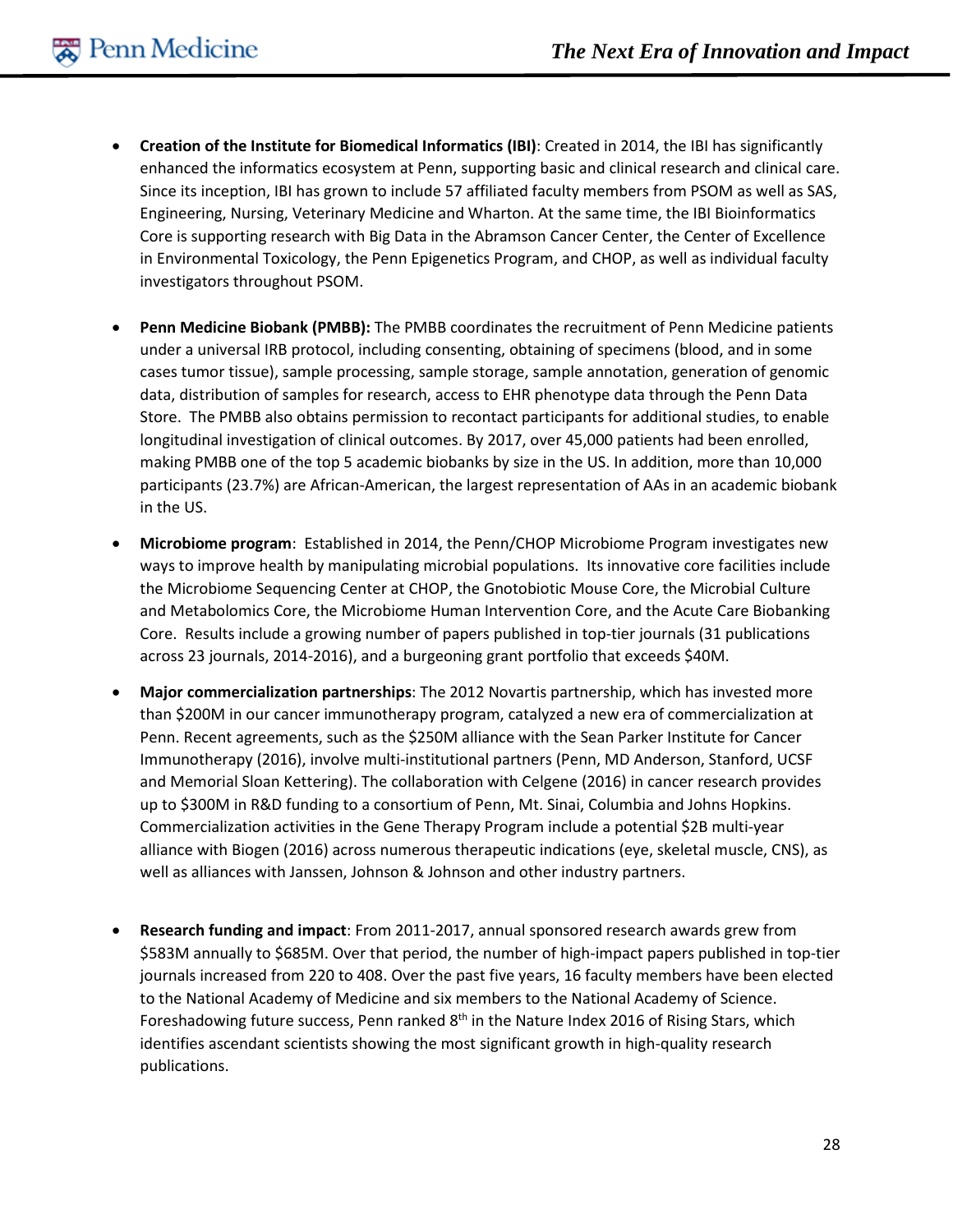- **Creation of the Institute for Biomedical Informatics (IBI)**: Created in 2014, the IBI has significantly enhanced the informatics ecosystem at Penn, supporting basic and clinical research and clinical care. Since its inception, IBI has grown to include 57 affiliated faculty members from PSOM as well as SAS, Engineering, Nursing, Veterinary Medicine and Wharton. At the same time, the IBI Bioinformatics Core is supporting research with Big Data in the Abramson Cancer Center, the Center of Excellence in Environmental Toxicology, the Penn Epigenetics Program, and CHOP, as well as individual faculty investigators throughout PSOM.
- **Penn Medicine Biobank (PMBB):** The PMBB coordinates the recruitment of Penn Medicine patients under a universal IRB protocol, including consenting, obtaining of specimens (blood, and in some cases tumor tissue), sample processing, sample storage, sample annotation, generation of genomic data, distribution of samples for research, access to EHR phenotype data through the Penn Data Store. The PMBB also obtains permission to recontact participants for additional studies, to enable longitudinal investigation of clinical outcomes. By 2017, over 45,000 patients had been enrolled, making PMBB one of the top 5 academic biobanks by size in the US. In addition, more than 10,000 participants (23.7%) are African-American, the largest representation of AAs in an academic biobank in the US.
- **Microbiome program**: Established in 2014, the Penn/CHOP Microbiome Program investigates new ways to improve health by manipulating microbial populations. Its innovative core facilities include the Microbiome Sequencing Center at CHOP, the Gnotobiotic Mouse Core, the Microbial Culture and Metabolomics Core, the Microbiome Human Intervention Core, and the Acute Care Biobanking Core. Results include a growing number of papers published in top-tier journals (31 publications across 23 journals, 2014-2016), and a burgeoning grant portfolio that exceeds \$40M.
- **Major commercialization partnerships**: The 2012 Novartis partnership, which has invested more than \$200M in our cancer immunotherapy program, catalyzed a new era of commercialization at Penn. Recent agreements, such as the \$250M alliance with the Sean Parker Institute for Cancer Immunotherapy (2016), involve multi-institutional partners (Penn, MD Anderson, Stanford, UCSF and Memorial Sloan Kettering). The collaboration with Celgene (2016) in cancer research provides up to \$300M in R&D funding to a consortium of Penn, Mt. Sinai, Columbia and Johns Hopkins. Commercialization activities in the Gene Therapy Program include a potential \$2B multi-year alliance with Biogen (2016) across numerous therapeutic indications (eye, skeletal muscle, CNS), as well as alliances with Janssen, Johnson & Johnson and other industry partners.
- **Research funding and impact**: From 2011-2017, annual sponsored research awards grew from \$583M annually to \$685M. Over that period, the number of high-impact papers published in top-tier journals increased from 220 to 408. Over the past five years, 16 faculty members have been elected to the National Academy of Medicine and six members to the National Academy of Science. Foreshadowing future success, Penn ranked 8<sup>th</sup> in the Nature Index 2016 of Rising Stars, which identifies ascendant scientists showing the most significant growth in high-quality research publications.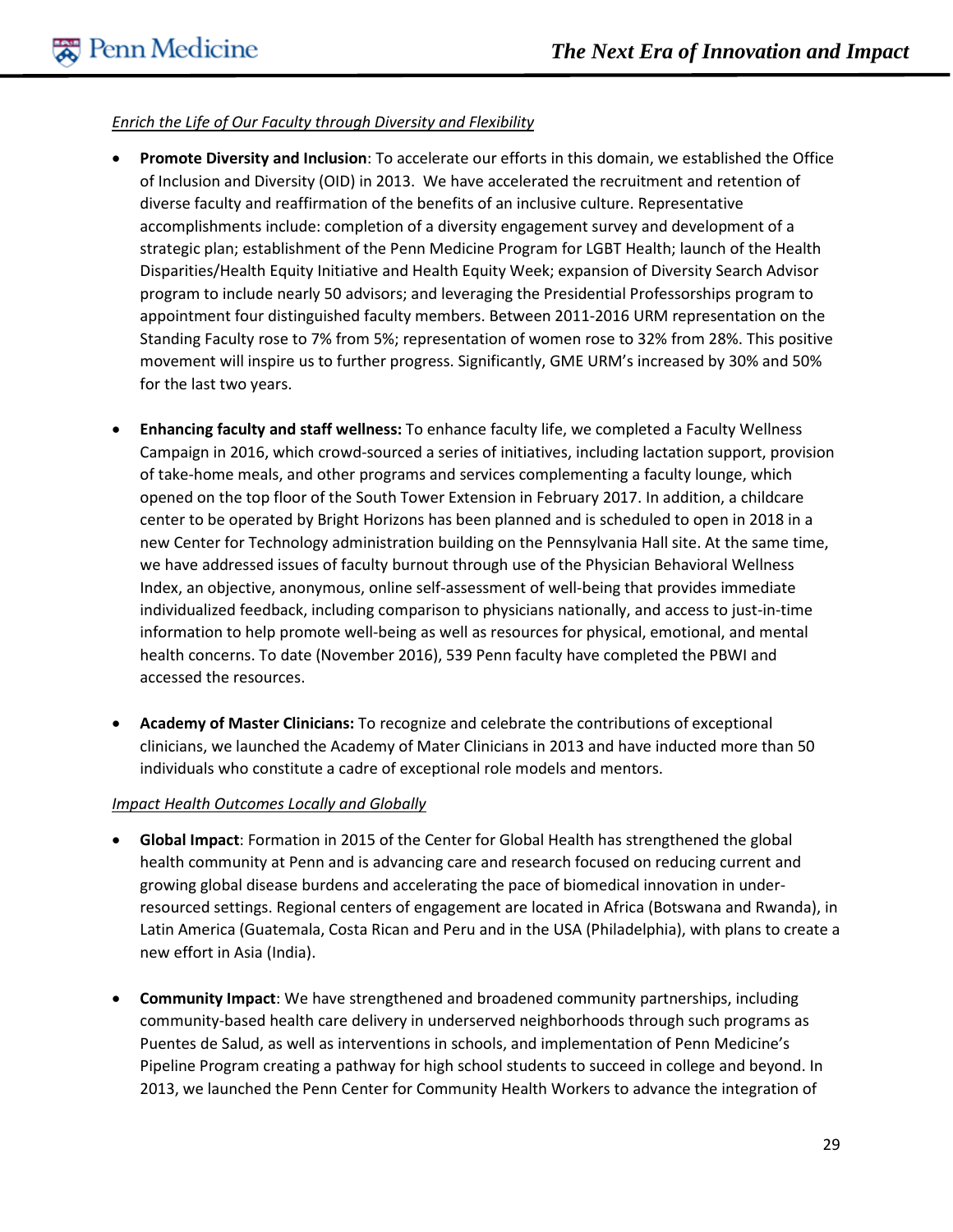#### *Enrich the Life of Our Faculty through Diversity and Flexibility*

- **Promote Diversity and Inclusion**: To accelerate our efforts in this domain, we established the Office of Inclusion and Diversity (OID) in 2013. We have accelerated the recruitment and retention of diverse faculty and reaffirmation of the benefits of an inclusive culture. Representative accomplishments include: completion of a diversity engagement survey and development of a strategic plan; establishment of the Penn Medicine Program for LGBT Health; launch of the Health Disparities/Health Equity Initiative and Health Equity Week; expansion of Diversity Search Advisor program to include nearly 50 advisors; and leveraging the Presidential Professorships program to appointment four distinguished faculty members. Between 2011-2016 URM representation on the Standing Faculty rose to 7% from 5%; representation of women rose to 32% from 28%. This positive movement will inspire us to further progress. Significantly, GME URM's increased by 30% and 50% for the last two years.
- **Enhancing faculty and staff wellness:** To enhance faculty life, we completed a Faculty Wellness Campaign in 2016, which crowd-sourced a series of initiatives, including lactation support, provision of take-home meals, and other programs and services complementing a faculty lounge, which opened on the top floor of the South Tower Extension in February 2017. In addition, a childcare center to be operated by Bright Horizons has been planned and is scheduled to open in 2018 in a new Center for Technology administration building on the Pennsylvania Hall site. At the same time, we have addressed issues of faculty burnout through use of the Physician Behavioral Wellness Index, an objective, anonymous, online self-assessment of well-being that provides immediate individualized feedback, including comparison to physicians nationally, and access to just-in-time information to help promote well-being as well as resources for physical, emotional, and mental health concerns. To date (November 2016), 539 Penn faculty have completed the PBWI and accessed the resources.
- **Academy of Master Clinicians:** To recognize and celebrate the contributions of exceptional clinicians, we launched the Academy of Mater Clinicians in 2013 and have inducted more than 50 individuals who constitute a cadre of exceptional role models and mentors.

#### *Impact Health Outcomes Locally and Globally*

- **Global Impact**: Formation in 2015 of the Center for Global Health has strengthened the global health community at Penn and is advancing care and research focused on reducing current and growing global disease burdens and accelerating the pace of biomedical innovation in underresourced settings. Regional centers of engagement are located in Africa (Botswana and Rwanda), in Latin America (Guatemala, Costa Rican and Peru and in the USA (Philadelphia), with plans to create a new effort in Asia (India).
- **Community Impact**: We have strengthened and broadened community partnerships, including community-based health care delivery in underserved neighborhoods through such programs as Puentes de Salud, as well as interventions in schools, and implementation of Penn Medicine's Pipeline Program creating a pathway for high school students to succeed in college and beyond. In 2013, we launched the Penn Center for Community Health Workers to advance the integration of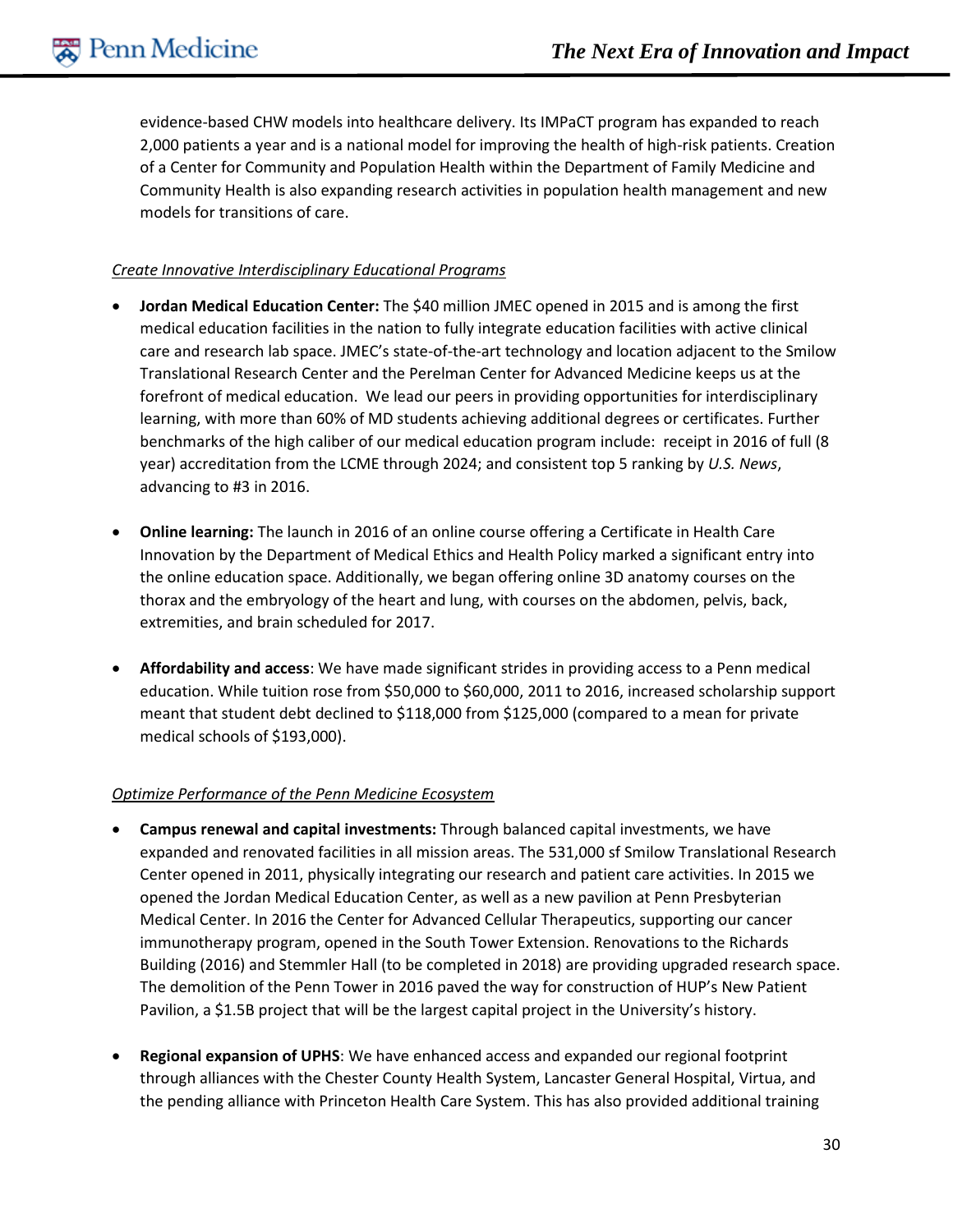evidence-based CHW models into healthcare delivery. Its IMPaCT program has expanded to reach 2,000 patients a year and is a national model for improving the health of high-risk patients. Creation of a Center for Community and Population Health within the Department of Family Medicine and Community Health is also expanding research activities in population health management and new models for transitions of care.

#### *Create Innovative Interdisciplinary Educational Programs*

- **Jordan Medical Education Center:** The \$40 million JMEC opened in 2015 and is among the first medical education facilities in the nation to fully integrate education facilities with active clinical care and research lab space. JMEC's state-of-the-art technology and location adjacent to the Smilow Translational Research Center and the Perelman Center for Advanced Medicine keeps us at the forefront of medical education. We lead our peers in providing opportunities for interdisciplinary learning, with more than 60% of MD students achieving additional degrees or certificates. Further benchmarks of the high caliber of our medical education program include: receipt in 2016 of full (8 year) accreditation from the LCME through 2024; and consistent top 5 ranking by *U.S. News*, advancing to #3 in 2016.
- **Online learning:** The launch in 2016 of an online course offering a Certificate in Health Care Innovation by the Department of Medical Ethics and Health Policy marked a significant entry into the online education space. Additionally, we began offering online 3D anatomy courses on the thorax and the embryology of the heart and lung, with courses on the abdomen, pelvis, back, extremities, and brain scheduled for 2017.
- **Affordability and access**: We have made significant strides in providing access to a Penn medical education. While tuition rose from \$50,000 to \$60,000, 2011 to 2016, increased scholarship support meant that student debt declined to \$118,000 from \$125,000 (compared to a mean for private medical schools of \$193,000).

#### *Optimize Performance of the Penn Medicine Ecosystem*

- **Campus renewal and capital investments:** Through balanced capital investments, we have expanded and renovated facilities in all mission areas. The 531,000 sf Smilow Translational Research Center opened in 2011, physically integrating our research and patient care activities. In 2015 we opened the Jordan Medical Education Center, as well as a new pavilion at Penn Presbyterian Medical Center. In 2016 the Center for Advanced Cellular Therapeutics, supporting our cancer immunotherapy program, opened in the South Tower Extension. Renovations to the Richards Building (2016) and Stemmler Hall (to be completed in 2018) are providing upgraded research space. The demolition of the Penn Tower in 2016 paved the way for construction of HUP's New Patient Pavilion, a \$1.5B project that will be the largest capital project in the University's history.
- **Regional expansion of UPHS**: We have enhanced access and expanded our regional footprint through alliances with the Chester County Health System, Lancaster General Hospital, Virtua, and the pending alliance with Princeton Health Care System. This has also provided additional training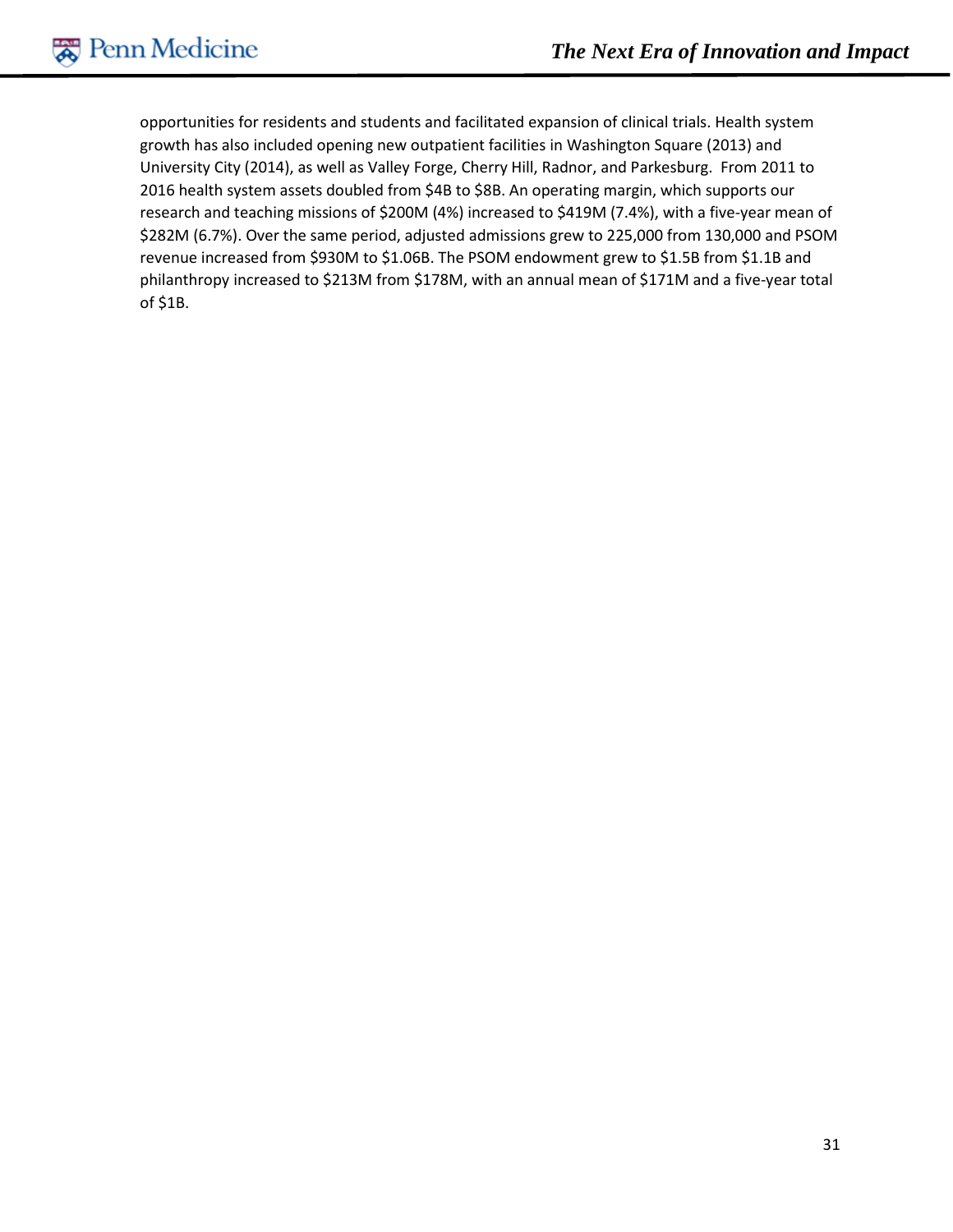opportunities for residents and students and facilitated expansion of clinical trials. Health system growth has also included opening new outpatient facilities in Washington Square (2013) and University City (2014), as well as Valley Forge, Cherry Hill, Radnor, and Parkesburg. From 2011 to 2016 health system assets doubled from \$4B to \$8B. An operating margin, which supports our research and teaching missions of \$200M (4%) increased to \$419M (7.4%), with a five-year mean of \$282M (6.7%). Over the same period, adjusted admissions grew to 225,000 from 130,000 and PSOM revenue increased from \$930M to \$1.06B. The PSOM endowment grew to \$1.5B from \$1.1B and philanthropy increased to \$213M from \$178M, with an annual mean of \$171M and a five-year total of \$1B.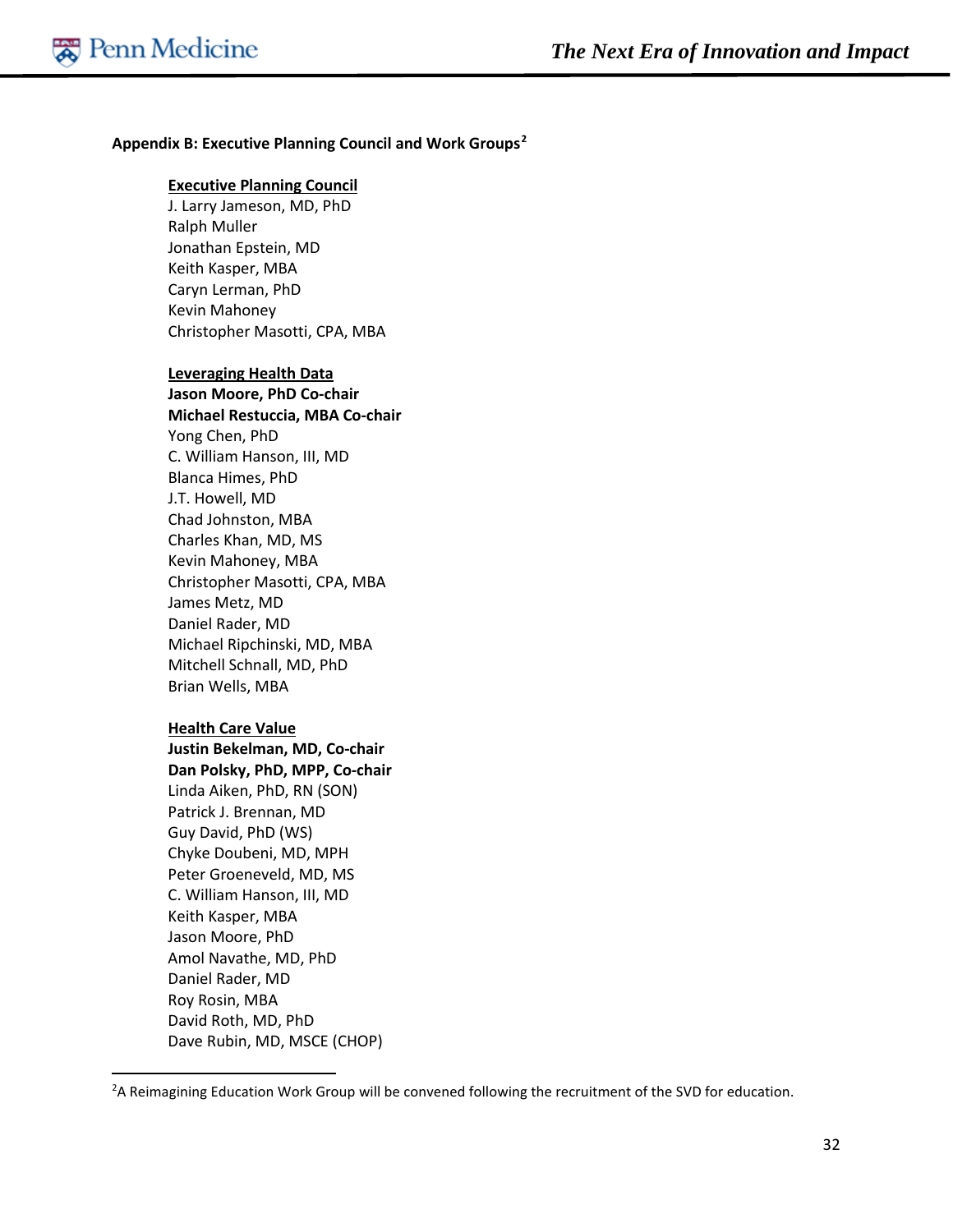#### **Appendix B: Executive Planning Council and Work Groups[2](#page-32-0)**

#### **Executive Planning Council**

J. Larry Jameson, MD, PhD Ralph Muller Jonathan Epstein, MD Keith Kasper, MBA Caryn Lerman, PhD Kevin Mahoney Christopher Masotti, CPA, MBA

#### **Leveraging Health Data**

**Jason Moore, PhD Co-chair Michael Restuccia, MBA Co-chair** Yong Chen, PhD C. William Hanson, III, MD Blanca Himes, PhD J.T. Howell, MD Chad Johnston, MBA Charles Khan, MD, MS Kevin Mahoney, MBA Christopher Masotti, CPA, MBA James Metz, MD Daniel Rader, MD Michael Ripchinski, MD, MBA Mitchell Schnall, MD, PhD Brian Wells, MBA

#### **Health Care Value**

**Justin Bekelman, MD, Co-chair Dan Polsky, PhD, MPP, Co-chair** Linda Aiken, PhD, RN (SON) Patrick J. Brennan, MD Guy David, PhD (WS) Chyke Doubeni, MD, MPH Peter Groeneveld, MD, MS C. William Hanson, III, MD Keith Kasper, MBA Jason Moore, PhD Amol Navathe, MD, PhD Daniel Rader, MD Roy Rosin, MBA David Roth, MD, PhD Dave Rubin, MD, MSCE (CHOP)

<span id="page-32-0"></span> $\overline{2}$ <sup>2</sup>A Reimagining Education Work Group will be convened following the recruitment of the SVD for education.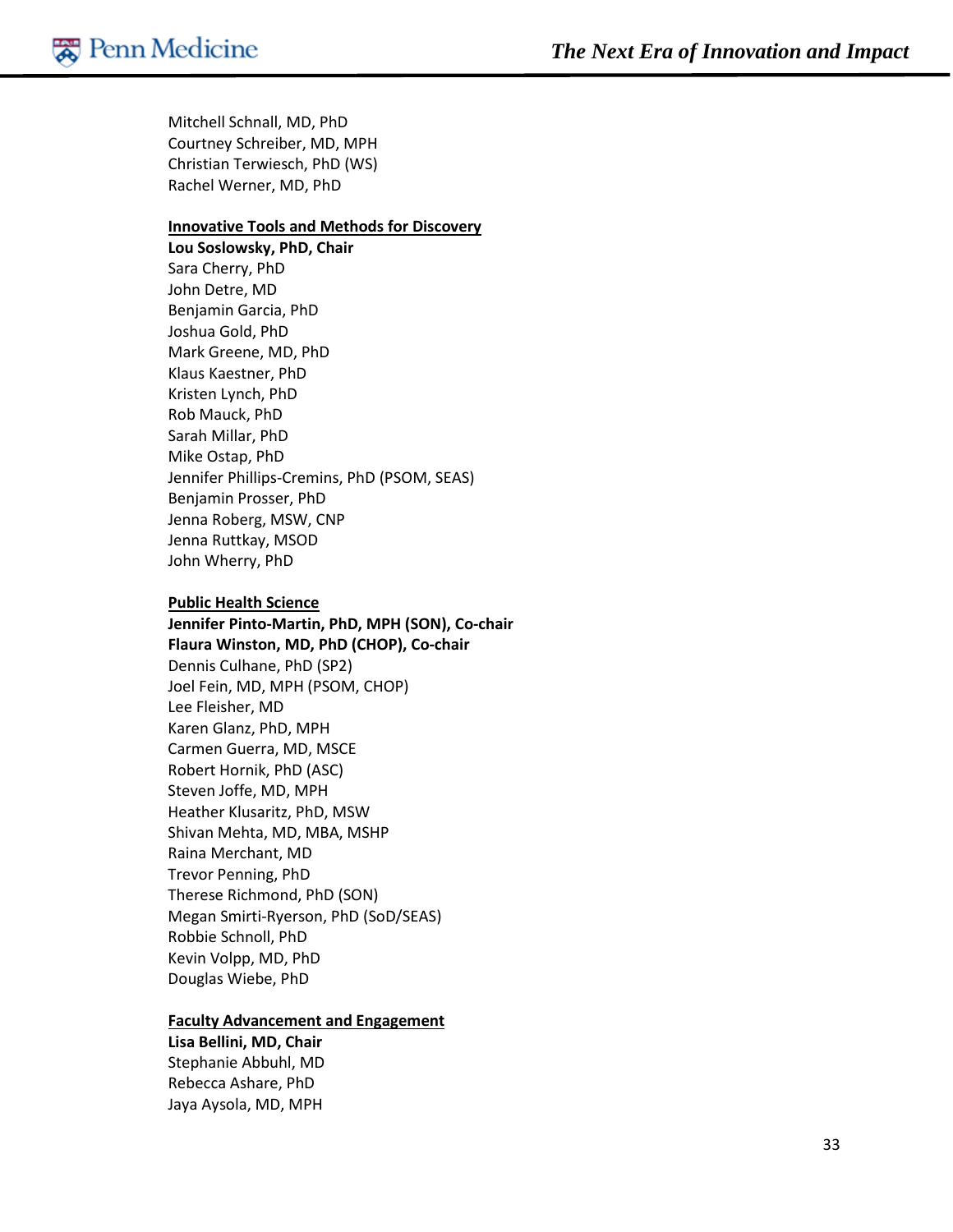Mitchell Schnall, MD, PhD Courtney Schreiber, MD, MPH Christian Terwiesch, PhD (WS) Rachel Werner, MD, PhD

#### **Innovative Tools and Methods for Discovery**

**Lou Soslowsky, PhD, Chair** Sara Cherry, PhD John Detre, MD Benjamin Garcia, PhD Joshua Gold, PhD Mark Greene, MD, PhD Klaus Kaestner, PhD Kristen Lynch, PhD Rob Mauck, PhD Sarah Millar, PhD Mike Ostap, PhD Jennifer Phillips-Cremins, PhD (PSOM, SEAS) Benjamin Prosser, PhD Jenna Roberg, MSW, CNP Jenna Ruttkay, MSOD John Wherry, PhD

#### **Public Health Science**

**Jennifer Pinto-Martin, PhD, MPH (SON), Co-chair Flaura Winston, MD, PhD (CHOP), Co-chair** Dennis Culhane, PhD (SP2) Joel Fein, MD, MPH (PSOM, CHOP) Lee Fleisher, MD Karen Glanz, PhD, MPH Carmen Guerra, MD, MSCE Robert Hornik, PhD (ASC) Steven Joffe, MD, MPH Heather Klusaritz, PhD, MSW Shivan Mehta, MD, MBA, MSHP Raina Merchant, MD Trevor Penning, PhD Therese Richmond, PhD (SON) Megan Smirti-Ryerson, PhD (SoD/SEAS) Robbie Schnoll, PhD Kevin Volpp, MD, PhD Douglas Wiebe, PhD

#### **Faculty Advancement and Engagement**

**Lisa Bellini, MD, Chair** Stephanie Abbuhl, MD Rebecca Ashare, PhD Jaya Aysola, MD, MPH